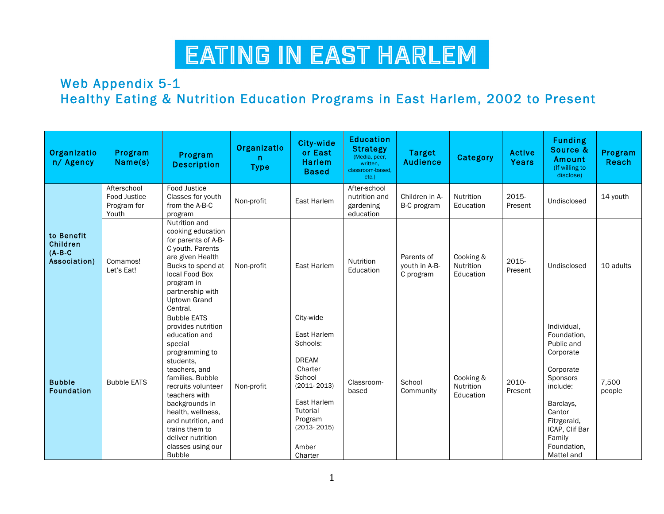#### Web Appendix 5-1 Healthy Eating & Nutrition Education Programs in East Harlem, 2002 to Present

| Organizatio<br>n/ Agency                            | Program<br>Name(s)                                         | Program<br><b>Description</b>                                                                                                                                                                                                                                                                                             | Organizatio<br>n.<br><b>Type</b> | City-wide<br>or East<br><b>Harlem</b><br><b>Based</b>                                                                                                                     | <b>Education</b><br><b>Strategy</b><br>(Media, peer,<br>written.<br>classroom-based.<br>etc.) | <b>Target</b><br><b>Audience</b>         | Category                            | <b>Active</b><br>Years | <b>Funding</b><br>Source &<br>Amount<br>(If willing to<br>disclose)                                                                                                                       | Program<br>Reach |
|-----------------------------------------------------|------------------------------------------------------------|---------------------------------------------------------------------------------------------------------------------------------------------------------------------------------------------------------------------------------------------------------------------------------------------------------------------------|----------------------------------|---------------------------------------------------------------------------------------------------------------------------------------------------------------------------|-----------------------------------------------------------------------------------------------|------------------------------------------|-------------------------------------|------------------------|-------------------------------------------------------------------------------------------------------------------------------------------------------------------------------------------|------------------|
|                                                     | Afterschool<br><b>Food Justice</b><br>Program for<br>Youth | Food Justice<br>Classes for youth<br>from the A-B-C<br>program                                                                                                                                                                                                                                                            | Non-profit                       | East Harlem                                                                                                                                                               | After-school<br>nutrition and<br>gardening<br>education                                       | Children in A-<br>B-C program            | Nutrition<br>Education              | 2015-<br>Present       | Undisclosed                                                                                                                                                                               | 14 youth         |
| to Benefit<br>Children<br>$(A-B-C)$<br>Association) | Comamos!<br>Let's Eat!                                     | Nutrition and<br>cooking education<br>for parents of A-B-<br>C youth. Parents<br>are given Health<br>Bucks to spend at<br>local Food Box<br>program in<br>partnership with<br><b>Uptown Grand</b><br>Central.                                                                                                             | Non-profit                       | East Harlem                                                                                                                                                               | Nutrition<br>Education                                                                        | Parents of<br>vouth in A-B-<br>C program | Cooking &<br>Nutrition<br>Education | 2015-<br>Present       | Undisclosed                                                                                                                                                                               | 10 adults        |
| <b>Bubble</b><br><b>Foundation</b>                  | <b>Bubble EATS</b>                                         | <b>Bubble EATS</b><br>provides nutrition<br>education and<br>special<br>programming to<br>students.<br>teachers, and<br>families. Bubble<br>recruits volunteer<br>teachers with<br>backgrounds in<br>health, wellness,<br>and nutrition, and<br>trains them to<br>deliver nutrition<br>classes using our<br><b>Bubble</b> | Non-profit                       | City-wide<br>East Harlem<br>Schools:<br><b>DREAM</b><br>Charter<br>School<br>$(2011 - 2013)$<br>East Harlem<br>Tutorial<br>Program<br>$(2013 - 2015)$<br>Amber<br>Charter | Classroom-<br>based                                                                           | School<br>Community                      | Cooking &<br>Nutrition<br>Education | 2010-<br>Present       | Individual,<br>Foundation.<br>Public and<br>Corporate<br>Corporate<br>Sponsors<br>include:<br>Barclays,<br>Cantor<br>Fitzgerald,<br>ICAP, Clif Bar<br>Family<br>Foundation,<br>Mattel and | 7,500<br>people  |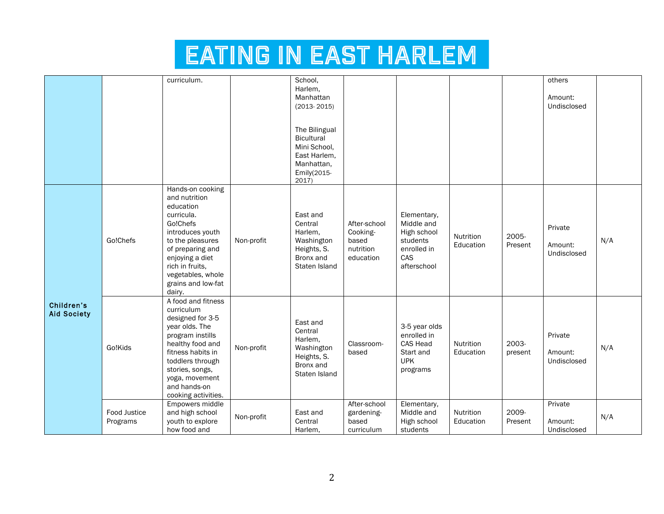|                                  |                          | curriculum.                                                                                                                                                                                                                         |            | School,<br>Harlem.<br>Manhattan<br>$(2013 - 2015)$<br>The Bilingual<br>Bicultural<br>Mini School,<br>East Harlem,<br>Manhattan,<br>Emily(2015- |                                                             |                                                                                           |                               |                  | others<br>Amount:<br>Undisclosed  |     |
|----------------------------------|--------------------------|-------------------------------------------------------------------------------------------------------------------------------------------------------------------------------------------------------------------------------------|------------|------------------------------------------------------------------------------------------------------------------------------------------------|-------------------------------------------------------------|-------------------------------------------------------------------------------------------|-------------------------------|------------------|-----------------------------------|-----|
|                                  | Go!Chefs                 | Hands-on cooking<br>and nutrition<br>education<br>curricula.<br>Go!Chefs<br>introduces youth<br>to the pleasures<br>of preparing and<br>enjoying a diet<br>rich in fruits,<br>vegetables, whole<br>grains and low-fat<br>dairy.     | Non-profit | 2017)<br>East and<br>Central<br>Harlem.<br>Washington<br>Heights, S.<br>Bronx and<br>Staten Island                                             | After-school<br>Cooking-<br>based<br>nutrition<br>education | Elementary,<br>Middle and<br>High school<br>students<br>enrolled in<br>CAS<br>afterschool | <b>Nutrition</b><br>Education | 2005-<br>Present | Private<br>Amount:<br>Undisclosed | N/A |
| Children's<br><b>Aid Society</b> | Go!Kids                  | A food and fitness<br>curriculum<br>designed for 3-5<br>year olds. The<br>program instills<br>healthy food and<br>fitness habits in<br>toddlers through<br>stories, songs,<br>yoga, movement<br>and hands-on<br>cooking activities. | Non-profit | East and<br>Central<br>Harlem,<br>Washington<br>Heights, S.<br>Bronx and<br>Staten Island                                                      | Classroom-<br>based                                         | 3-5 year olds<br>enrolled in<br><b>CAS Head</b><br>Start and<br><b>UPK</b><br>programs    | Nutrition<br>Education        | 2003-<br>present | Private<br>Amount:<br>Undisclosed | N/A |
|                                  | Food Justice<br>Programs | Empowers middle<br>and high school<br>youth to explore<br>how food and                                                                                                                                                              | Non-profit | East and<br>Central<br>Harlem,                                                                                                                 | After-school<br>gardening-<br>based<br>curriculum           | Elementary,<br>Middle and<br>High school<br>students                                      | Nutrition<br>Education        | 2009-<br>Present | Private<br>Amount:<br>Undisclosed | N/A |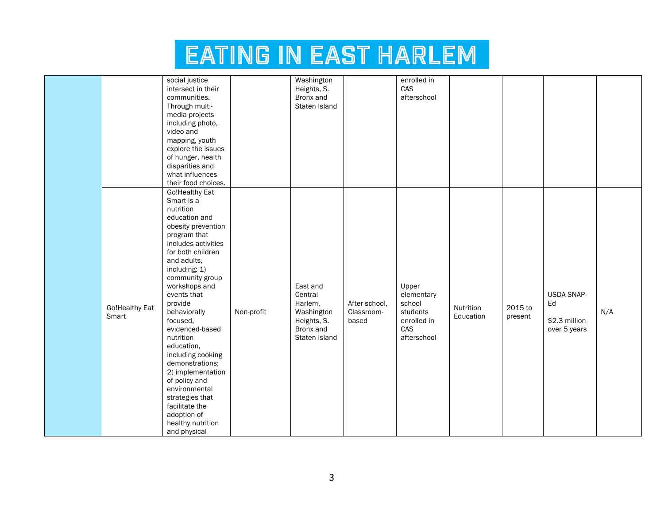|                         | social justice          |            | Washington    |               | enrolled in |                        |         |               |     |
|-------------------------|-------------------------|------------|---------------|---------------|-------------|------------------------|---------|---------------|-----|
|                         | intersect in their      |            | Heights, S.   |               | CAS         |                        |         |               |     |
|                         | communities.            |            | Bronx and     |               | afterschool |                        |         |               |     |
|                         | Through multi-          |            | Staten Island |               |             |                        |         |               |     |
|                         | media projects          |            |               |               |             |                        |         |               |     |
|                         | including photo,        |            |               |               |             |                        |         |               |     |
|                         | video and               |            |               |               |             |                        |         |               |     |
|                         | mapping, youth          |            |               |               |             |                        |         |               |     |
|                         | explore the issues      |            |               |               |             |                        |         |               |     |
|                         | of hunger, health       |            |               |               |             |                        |         |               |     |
|                         | disparities and         |            |               |               |             |                        |         |               |     |
|                         | what influences         |            |               |               |             |                        |         |               |     |
|                         | their food choices.     |            |               |               |             |                        |         |               |     |
|                         | Go!Healthy Eat          |            |               |               |             |                        |         |               |     |
|                         | Smart is a<br>nutrition |            |               |               |             |                        |         |               |     |
|                         | education and           |            |               |               |             |                        |         |               |     |
|                         | obesity prevention      |            |               |               |             |                        |         |               |     |
|                         | program that            |            |               |               |             |                        |         |               |     |
|                         | includes activities     |            |               |               |             |                        |         |               |     |
|                         | for both children       |            |               |               |             |                        |         |               |     |
|                         | and adults,             |            |               |               |             |                        |         |               |     |
|                         | including: 1)           |            |               |               |             |                        |         |               |     |
|                         | community group         |            |               |               |             |                        |         |               |     |
|                         | workshops and           |            | East and      |               | Upper       |                        |         |               |     |
|                         | events that             |            | Central       |               | elementary  |                        |         | USDA SNAP-    |     |
|                         | provide                 |            | Harlem,       | After school, | school      |                        |         | Ed            |     |
| Go!Healthy Eat<br>Smart | behaviorally            | Non-profit | Washington    | Classroom-    | students    | Nutrition<br>Education | 2015 to |               | N/A |
|                         | focused,                |            | Heights, S.   | based         | enrolled in |                        | present | \$2.3 million |     |
|                         | evidenced-based         |            | Bronx and     |               | CAS         |                        |         | over 5 years  |     |
|                         | nutrition               |            | Staten Island |               | afterschool |                        |         |               |     |
|                         | education,              |            |               |               |             |                        |         |               |     |
|                         | including cooking       |            |               |               |             |                        |         |               |     |
|                         | demonstrations;         |            |               |               |             |                        |         |               |     |
|                         | 2) implementation       |            |               |               |             |                        |         |               |     |
|                         | of policy and           |            |               |               |             |                        |         |               |     |
|                         | environmental           |            |               |               |             |                        |         |               |     |
|                         | strategies that         |            |               |               |             |                        |         |               |     |
|                         | facilitate the          |            |               |               |             |                        |         |               |     |
|                         | adoption of             |            |               |               |             |                        |         |               |     |
|                         | healthy nutrition       |            |               |               |             |                        |         |               |     |
|                         | and physical            |            |               |               |             |                        |         |               |     |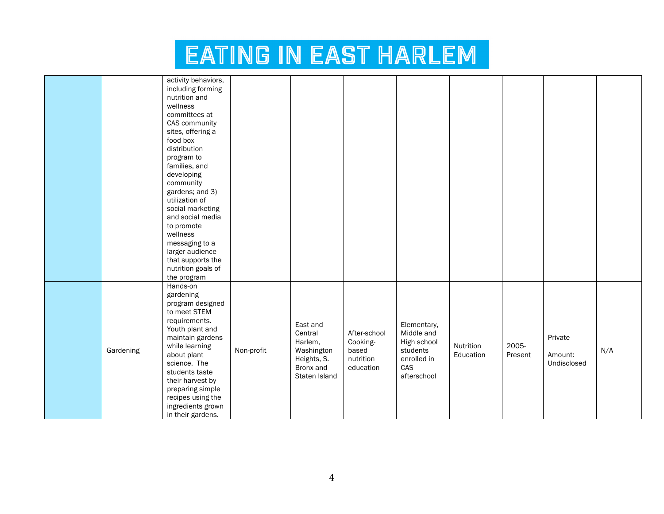|           | activity behaviors,<br>including forming<br>nutrition and<br>wellness<br>committees at<br>CAS community<br>sites, offering a<br>food box<br>distribution<br>program to<br>families, and<br>developing<br>community<br>gardens; and 3)<br>utilization of<br>social marketing<br>and social media<br>to promote<br>wellness<br>messaging to a<br>larger audience<br>that supports the<br>nutrition goals of<br>the program |            |                                                                                           |                                                             |                                                                                           |                        |                  |                                   |     |
|-----------|--------------------------------------------------------------------------------------------------------------------------------------------------------------------------------------------------------------------------------------------------------------------------------------------------------------------------------------------------------------------------------------------------------------------------|------------|-------------------------------------------------------------------------------------------|-------------------------------------------------------------|-------------------------------------------------------------------------------------------|------------------------|------------------|-----------------------------------|-----|
| Gardening | Hands-on<br>gardening<br>program designed<br>to meet STEM<br>requirements.<br>Youth plant and<br>maintain gardens<br>while learning<br>about plant<br>science. The<br>students taste<br>their harvest by<br>preparing simple<br>recipes using the<br>ingredients grown<br>in their gardens.                                                                                                                              | Non-profit | East and<br>Central<br>Harlem,<br>Washington<br>Heights, S.<br>Bronx and<br>Staten Island | After-school<br>Cooking-<br>based<br>nutrition<br>education | Elementary,<br>Middle and<br>High school<br>students<br>enrolled in<br>CAS<br>afterschool | Nutrition<br>Education | 2005-<br>Present | Private<br>Amount:<br>Undisclosed | N/A |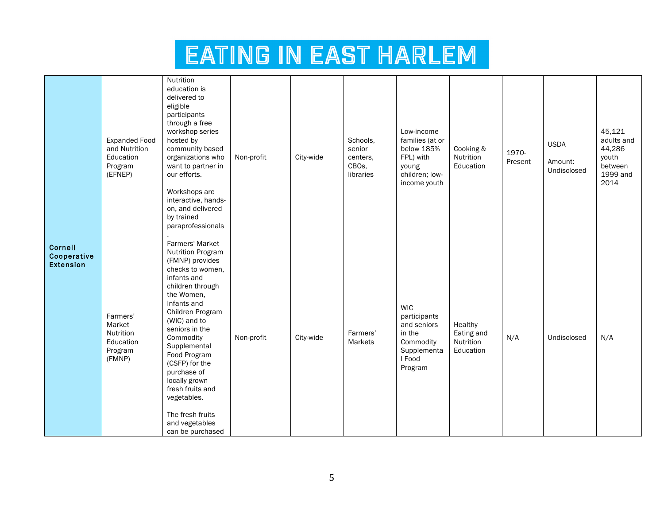|                                            | <b>Expanded Food</b><br>and Nutrition<br>Education<br>Program<br>(EFNEP) | Nutrition<br>education is<br>delivered to<br>eligible<br>participants<br>through a free<br>workshop series<br>hosted by<br>community based<br>organizations who<br>want to partner in<br>our efforts.<br>Workshops are<br>interactive, hands-<br>on, and delivered<br>by trained<br>paraprofessionals                                                                                         | Non-profit | City-wide | Schools,<br>senior<br>centers.<br>CBO <sub>s</sub> ,<br>libraries | Low-income<br>families (at or<br>below 185%<br>FPL) with<br>young<br>children; low-<br>income youth  | Cooking &<br>Nutrition<br>Education             | 1970-<br>Present | <b>USDA</b><br>Amount:<br>Undisclosed | 45,121<br>adults and<br>44,286<br>youth<br>between<br>1999 and<br>2014 |
|--------------------------------------------|--------------------------------------------------------------------------|-----------------------------------------------------------------------------------------------------------------------------------------------------------------------------------------------------------------------------------------------------------------------------------------------------------------------------------------------------------------------------------------------|------------|-----------|-------------------------------------------------------------------|------------------------------------------------------------------------------------------------------|-------------------------------------------------|------------------|---------------------------------------|------------------------------------------------------------------------|
| Cornell<br>Cooperative<br><b>Extension</b> | Farmers'<br>Market<br>Nutrition<br>Education<br>Program<br>(FMNP)        | Farmers' Market<br>Nutrition Program<br>(FMNP) provides<br>checks to women,<br>infants and<br>children through<br>the Women,<br>Infants and<br>Children Program<br>(WIC) and to<br>seniors in the<br>Commodity<br>Supplemental<br>Food Program<br>(CSFP) for the<br>purchase of<br>locally grown<br>fresh fruits and<br>vegetables.<br>The fresh fruits<br>and vegetables<br>can be purchased | Non-profit | City-wide | Farmers'<br>Markets                                               | <b>WIC</b><br>participants<br>and seniors<br>in the<br>Commodity<br>Supplementa<br>I Food<br>Program | Healthy<br>Eating and<br>Nutrition<br>Education | N/A              | Undisclosed                           | N/A                                                                    |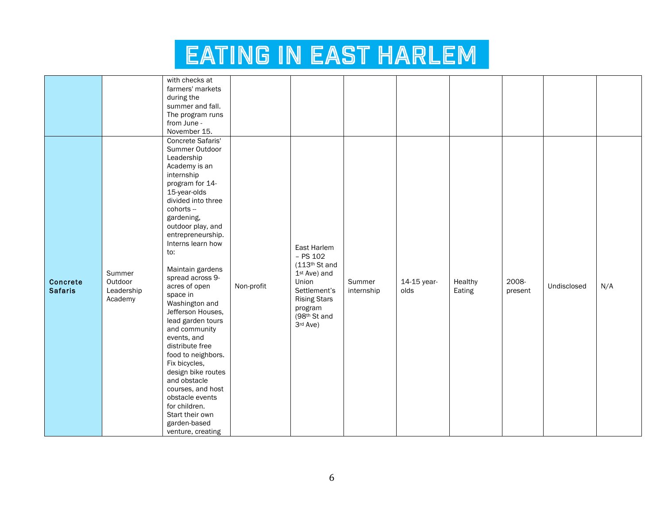|                                   |                                            | with checks at<br>farmers' markets<br>during the<br>summer and fall.<br>The program runs<br>from June -<br>November 15.                                                                                                                                                                                                                                                                                                                                                                                                                                                                                                       |            |                                                                                                                                                               |                      |                     |                   |                  |             |     |
|-----------------------------------|--------------------------------------------|-------------------------------------------------------------------------------------------------------------------------------------------------------------------------------------------------------------------------------------------------------------------------------------------------------------------------------------------------------------------------------------------------------------------------------------------------------------------------------------------------------------------------------------------------------------------------------------------------------------------------------|------------|---------------------------------------------------------------------------------------------------------------------------------------------------------------|----------------------|---------------------|-------------------|------------------|-------------|-----|
| <b>Concrete</b><br><b>Safaris</b> | Summer<br>Outdoor<br>Leadership<br>Academy | Concrete Safaris'<br>Summer Outdoor<br>Leadership<br>Academy is an<br>internship<br>program for 14-<br>15-year-olds<br>divided into three<br>cohorts --<br>gardening,<br>outdoor play, and<br>entrepreneurship.<br>Interns learn how<br>to:<br>Maintain gardens<br>spread across 9-<br>acres of open<br>space in<br>Washington and<br>Jefferson Houses,<br>lead garden tours<br>and community<br>events, and<br>distribute free<br>food to neighbors.<br>Fix bicycles,<br>design bike routes<br>and obstacle<br>courses, and host<br>obstacle events<br>for children.<br>Start their own<br>garden-based<br>venture, creating | Non-profit | East Harlem<br>$-$ PS 102<br>(113 <sup>th</sup> St and<br>1st Ave) and<br>Union<br>Settlement's<br><b>Rising Stars</b><br>program<br>(98th St and<br>3rd Ave) | Summer<br>internship | 14-15 year-<br>olds | Healthy<br>Eating | 2008-<br>present | Undisclosed | N/A |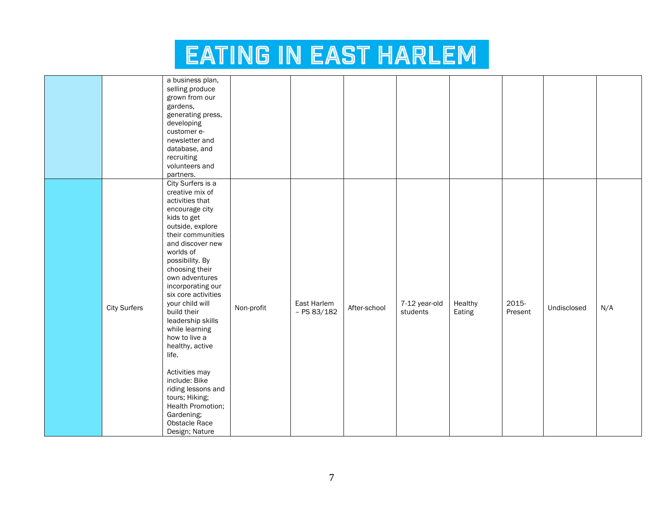|                     | a business plan,    |            |               |              |               |         |         |             |     |
|---------------------|---------------------|------------|---------------|--------------|---------------|---------|---------|-------------|-----|
|                     | selling produce     |            |               |              |               |         |         |             |     |
|                     | grown from our      |            |               |              |               |         |         |             |     |
|                     | gardens,            |            |               |              |               |         |         |             |     |
|                     | generating press,   |            |               |              |               |         |         |             |     |
|                     | developing          |            |               |              |               |         |         |             |     |
|                     | customer e-         |            |               |              |               |         |         |             |     |
|                     | newsletter and      |            |               |              |               |         |         |             |     |
|                     | database, and       |            |               |              |               |         |         |             |     |
|                     | recruiting          |            |               |              |               |         |         |             |     |
|                     | volunteers and      |            |               |              |               |         |         |             |     |
|                     | partners.           |            |               |              |               |         |         |             |     |
|                     | City Surfers is a   |            |               |              |               |         |         |             |     |
|                     | creative mix of     |            |               |              |               |         |         |             |     |
|                     | activities that     |            |               |              |               |         |         |             |     |
|                     | encourage city      |            |               |              |               |         |         |             |     |
|                     | kids to get         |            |               |              |               |         |         |             |     |
|                     | outside, explore    |            |               |              |               |         |         |             |     |
|                     | their communities   |            |               |              |               |         |         |             |     |
|                     | and discover new    |            |               |              |               |         |         |             |     |
|                     | worlds of           |            |               |              |               |         |         |             |     |
|                     | possibility. By     |            |               |              |               |         |         |             |     |
|                     | choosing their      |            |               |              |               |         |         |             |     |
|                     | own adventures      |            |               |              |               |         |         |             |     |
|                     | incorporating our   |            |               |              |               |         |         |             |     |
|                     | six core activities |            |               |              |               |         |         |             |     |
|                     | your child will     |            | East Harlem   |              | 7-12 year-old | Healthy | 2015-   |             |     |
| <b>City Surfers</b> | build their         | Non-profit | $-$ PS 83/182 | After-school | students      | Eating  | Present | Undisclosed | N/A |
|                     | leadership skills   |            |               |              |               |         |         |             |     |
|                     | while learning      |            |               |              |               |         |         |             |     |
|                     | how to live a       |            |               |              |               |         |         |             |     |
|                     | healthy, active     |            |               |              |               |         |         |             |     |
|                     | life.               |            |               |              |               |         |         |             |     |
|                     |                     |            |               |              |               |         |         |             |     |
|                     | Activities may      |            |               |              |               |         |         |             |     |
|                     | include: Bike       |            |               |              |               |         |         |             |     |
|                     | riding lessons and  |            |               |              |               |         |         |             |     |
|                     | tours; Hiking;      |            |               |              |               |         |         |             |     |
|                     | Health Promotion;   |            |               |              |               |         |         |             |     |
|                     | Gardening;          |            |               |              |               |         |         |             |     |
|                     | Obstacle Race       |            |               |              |               |         |         |             |     |
|                     |                     |            |               |              |               |         |         |             |     |
|                     | Design; Nature      |            |               |              |               |         |         |             |     |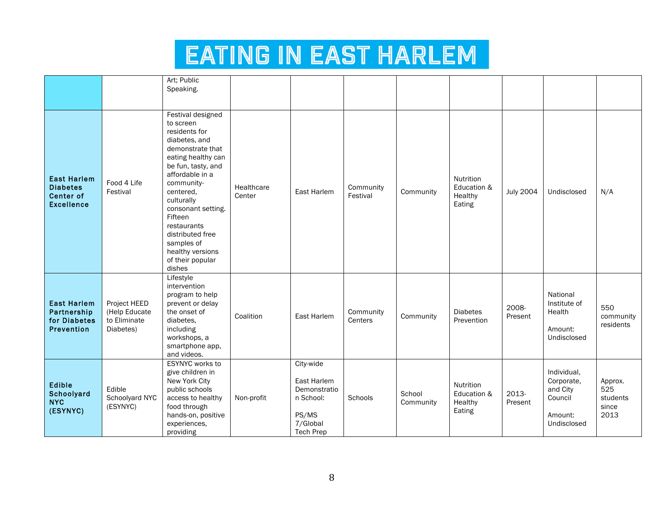|                                                                         |                                                            | Art; Public<br>Speaking.                                                                                                                                                                                                                                                                                                         |                      |                                                                                                |                       |                     |                                               |                  |                                                                            |                                             |
|-------------------------------------------------------------------------|------------------------------------------------------------|----------------------------------------------------------------------------------------------------------------------------------------------------------------------------------------------------------------------------------------------------------------------------------------------------------------------------------|----------------------|------------------------------------------------------------------------------------------------|-----------------------|---------------------|-----------------------------------------------|------------------|----------------------------------------------------------------------------|---------------------------------------------|
| <b>East Harlem</b><br><b>Diabetes</b><br>Center of<br><b>Excellence</b> | Food 4 Life<br>Festival                                    | Festival designed<br>to screen<br>residents for<br>diabetes, and<br>demonstrate that<br>eating healthy can<br>be fun, tasty, and<br>affordable in a<br>community-<br>centered,<br>culturally<br>consonant setting.<br>Fifteen<br>restaurants<br>distributed free<br>samples of<br>healthy versions<br>of their popular<br>dishes | Healthcare<br>Center | East Harlem                                                                                    | Community<br>Festival | Community           | Nutrition<br>Education &<br>Healthy<br>Eating | <b>July 2004</b> | Undisclosed                                                                | N/A                                         |
| <b>East Harlem</b><br>Partnership<br>for Diabetes<br>Prevention         | Project HEED<br>(Help Educate<br>to Eliminate<br>Diabetes) | Lifestyle<br>intervention<br>program to help<br>prevent or delay<br>the onset of<br>diabetes.<br>including<br>workshops, a<br>smartphone app,<br>and videos.                                                                                                                                                                     | Coalition            | East Harlem                                                                                    | Community<br>Centers  | Community           | <b>Diabetes</b><br>Prevention                 | 2008-<br>Present | National<br>Institute of<br>Health<br>Amount:<br>Undisclosed               | 550<br>community<br>residents               |
| Edible<br>Schoolyard<br><b>NYC</b><br>(ESYNYC)                          | Edible<br>Schoolyard NYC<br>(ESYNYC)                       | ESYNYC works to<br>give children in<br>New York City<br>public schools<br>access to healthy<br>food through<br>hands-on, positive<br>experiences,<br>providing                                                                                                                                                                   | Non-profit           | City-wide<br>East Harlem<br>Demonstratio<br>n School:<br>PS/MS<br>7/Global<br><b>Tech Prep</b> | Schools               | School<br>Community | Nutrition<br>Education &<br>Healthy<br>Eating | 2013-<br>Present | Individual,<br>Corporate,<br>and City<br>Council<br>Amount:<br>Undisclosed | Approx.<br>525<br>students<br>since<br>2013 |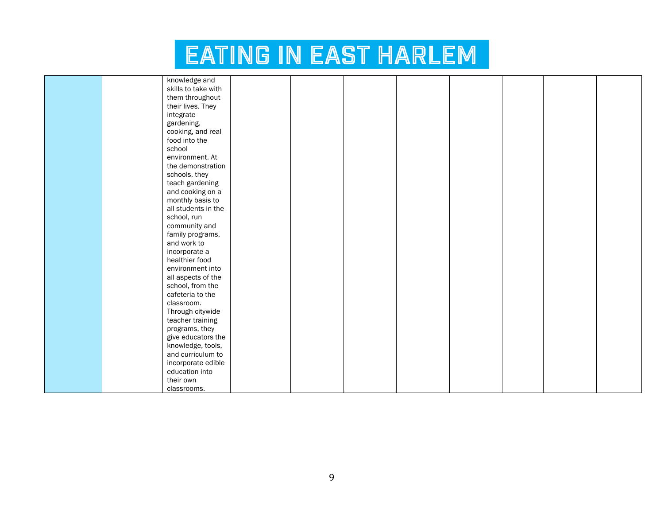|  | knowledge and       |  |  |  |  |
|--|---------------------|--|--|--|--|
|  | skills to take with |  |  |  |  |
|  | them throughout     |  |  |  |  |
|  | their lives. They   |  |  |  |  |
|  | integrate           |  |  |  |  |
|  | gardening,          |  |  |  |  |
|  | cooking, and real   |  |  |  |  |
|  | food into the       |  |  |  |  |
|  | school              |  |  |  |  |
|  | environment. At     |  |  |  |  |
|  | the demonstration   |  |  |  |  |
|  | schools, they       |  |  |  |  |
|  | teach gardening     |  |  |  |  |
|  | and cooking on a    |  |  |  |  |
|  | monthly basis to    |  |  |  |  |
|  | all students in the |  |  |  |  |
|  | school, run         |  |  |  |  |
|  | community and       |  |  |  |  |
|  | family programs,    |  |  |  |  |
|  | and work to         |  |  |  |  |
|  | incorporate a       |  |  |  |  |
|  | healthier food      |  |  |  |  |
|  | environment into    |  |  |  |  |
|  | all aspects of the  |  |  |  |  |
|  | school, from the    |  |  |  |  |
|  | cafeteria to the    |  |  |  |  |
|  | classroom.          |  |  |  |  |
|  | Through citywide    |  |  |  |  |
|  | teacher training    |  |  |  |  |
|  | programs, they      |  |  |  |  |
|  | give educators the  |  |  |  |  |
|  | knowledge, tools,   |  |  |  |  |
|  | and curriculum to   |  |  |  |  |
|  | incorporate edible  |  |  |  |  |
|  | education into      |  |  |  |  |
|  | their own           |  |  |  |  |
|  | classrooms.         |  |  |  |  |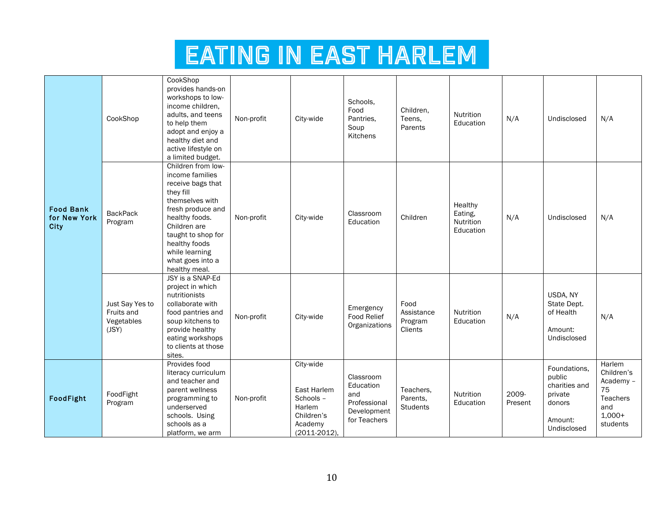|                                                 | CookShop                                             | CookShop<br>provides hands-on<br>workshops to low-<br>income children,<br>adults, and teens<br>to help them<br>adopt and enjoy a<br>healthy diet and<br>active lifestyle on<br>a limited budget.                                                | Non-profit | City-wide                                                                                    | Schools.<br>Food<br>Pantries.<br>Soup<br>Kitchens                            | Children.<br>Teens.<br>Parents           | Nutrition<br>Education                       | N/A              | Undisclosed                                                                            | N/A                                                                                       |
|-------------------------------------------------|------------------------------------------------------|-------------------------------------------------------------------------------------------------------------------------------------------------------------------------------------------------------------------------------------------------|------------|----------------------------------------------------------------------------------------------|------------------------------------------------------------------------------|------------------------------------------|----------------------------------------------|------------------|----------------------------------------------------------------------------------------|-------------------------------------------------------------------------------------------|
| <b>Food Bank</b><br>for New York<br><b>City</b> | <b>BackPack</b><br>Program                           | Children from low-<br>income families<br>receive bags that<br>they fill<br>themselves with<br>fresh produce and<br>healthy foods.<br>Children are<br>taught to shop for<br>healthy foods<br>while learning<br>what goes into a<br>healthy meal. | Non-profit | City-wide                                                                                    | Classroom<br>Education                                                       | Children                                 | Healthy<br>Eating,<br>Nutrition<br>Education | N/A              | Undisclosed                                                                            | N/A                                                                                       |
|                                                 | Just Say Yes to<br>Fruits and<br>Vegetables<br>(JSY) | JSY is a SNAP-Ed<br>project in which<br>nutritionists<br>collaborate with<br>food pantries and<br>soup kitchens to<br>provide healthy<br>eating workshops<br>to clients at those<br>sites.                                                      | Non-profit | City-wide                                                                                    | Emergency<br><b>Food Relief</b><br>Organizations                             | Food<br>Assistance<br>Program<br>Clients | <b>Nutrition</b><br>Education                | N/A              | USDA, NY<br>State Dept.<br>of Health<br>Amount:<br>Undisclosed                         | N/A                                                                                       |
| FoodFight                                       | FoodFight<br>Program                                 | Provides food<br>literacy curriculum<br>and teacher and<br>parent wellness<br>programming to<br>underserved<br>schools. Using<br>schools as a<br>platform, we arm                                                                               | Non-profit | City-wide<br>East Harlem<br>Schools -<br>Harlem<br>Children's<br>Academy<br>$(2011 - 2012),$ | Classroom<br>Education<br>and<br>Professional<br>Development<br>for Teachers | Teachers.<br>Parents.<br><b>Students</b> | Nutrition<br>Education                       | 2009-<br>Present | Foundations,<br>public<br>charities and<br>private<br>donors<br>Amount:<br>Undisclosed | Harlem<br>Children's<br>Academy -<br>75<br><b>Teachers</b><br>and<br>$1,000+$<br>students |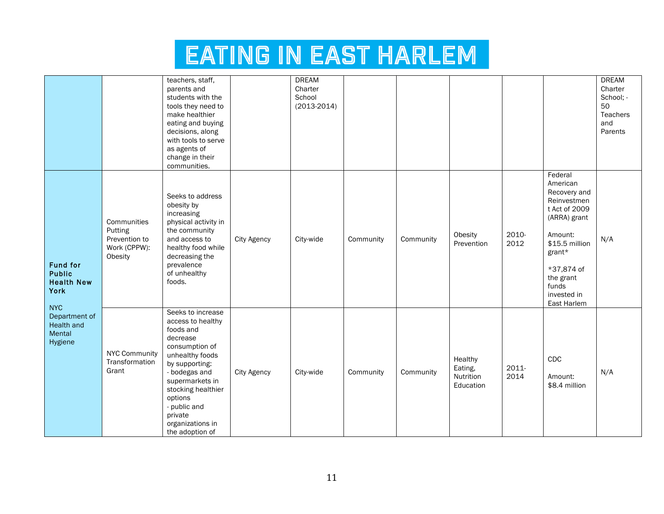|                                                                |                                                                    | teachers, staff,<br>parents and<br>students with the<br>tools they need to<br>make healthier<br>eating and buying<br>decisions, along<br>with tools to serve<br>as agents of<br>change in their<br>communities.                                               |                    | <b>DREAM</b><br>Charter<br>School<br>$(2013 - 2014)$ |           |           |                                              |               |                                                                                                                                                                                              | <b>DREAM</b><br>Charter<br>School; -<br>50<br><b>Teachers</b><br>and<br>Parents |
|----------------------------------------------------------------|--------------------------------------------------------------------|---------------------------------------------------------------------------------------------------------------------------------------------------------------------------------------------------------------------------------------------------------------|--------------------|------------------------------------------------------|-----------|-----------|----------------------------------------------|---------------|----------------------------------------------------------------------------------------------------------------------------------------------------------------------------------------------|---------------------------------------------------------------------------------|
| <b>Fund for</b><br><b>Public</b><br><b>Health New</b><br>York  | Communities<br>Putting<br>Prevention to<br>Work (CPPW):<br>Obesity | Seeks to address<br>obesity by<br>increasing<br>physical activity in<br>the community<br>and access to<br>healthy food while<br>decreasing the<br>prevalence<br>of unhealthy<br>foods.                                                                        | City Agency        | City-wide                                            | Community | Community | Obesity<br>Prevention                        | 2010-<br>2012 | Federal<br>American<br>Recovery and<br>Reinvestmen<br>t Act of 2009<br>(ARRA) grant<br>Amount:<br>\$15.5 million<br>grant*<br>*37,874 of<br>the grant<br>funds<br>invested in<br>East Harlem | N/A                                                                             |
| <b>NYC</b><br>Department of<br>Health and<br>Mental<br>Hygiene | <b>NYC Community</b><br>Transformation<br>Grant                    | Seeks to increase<br>access to healthy<br>foods and<br>decrease<br>consumption of<br>unhealthy foods<br>by supporting:<br>- bodegas and<br>supermarkets in<br>stocking healthier<br>options<br>- public and<br>private<br>organizations in<br>the adoption of | <b>City Agency</b> | City-wide                                            | Community | Community | Healthy<br>Eating,<br>Nutrition<br>Education | 2011-<br>2014 | CDC<br>Amount:<br>\$8.4 million                                                                                                                                                              | N/A                                                                             |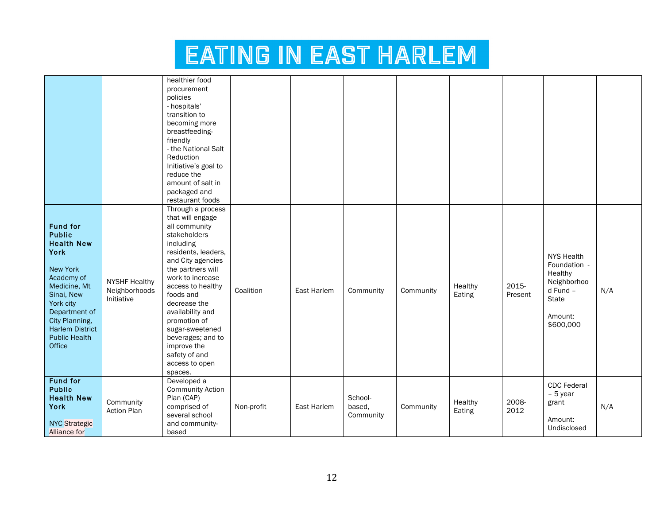|                                                                                                                                                                                                                                                 |                                                     | healthier food<br>procurement<br>policies<br>- hospitals'<br>transition to<br>becoming more<br>breastfeeding-<br>friendly<br>- the National Salt<br>Reduction<br>Initiative's goal to<br>reduce the<br>amount of salt in<br>packaged and<br>restaurant foods                                                                                                        |            |             |                                |           |                   |                  |                                                                                                                 |     |
|-------------------------------------------------------------------------------------------------------------------------------------------------------------------------------------------------------------------------------------------------|-----------------------------------------------------|---------------------------------------------------------------------------------------------------------------------------------------------------------------------------------------------------------------------------------------------------------------------------------------------------------------------------------------------------------------------|------------|-------------|--------------------------------|-----------|-------------------|------------------|-----------------------------------------------------------------------------------------------------------------|-----|
| <b>Fund for</b><br><b>Public</b><br><b>Health New</b><br><b>York</b><br><b>New York</b><br>Academy of<br>Medicine, Mt<br>Sinai, New<br>York city<br>Department of<br>City Planning,<br><b>Harlem District</b><br><b>Public Health</b><br>Office | <b>NYSHF Healthy</b><br>Neighborhoods<br>Initiative | Through a process<br>that will engage<br>all community<br>stakeholders<br>including<br>residents, leaders,<br>and City agencies<br>the partners will<br>work to increase<br>access to healthy<br>foods and<br>decrease the<br>availability and<br>promotion of<br>sugar-sweetened<br>beverages; and to<br>improve the<br>safety of and<br>access to open<br>spaces. | Coalition  | East Harlem | Community                      | Community | Healthy<br>Eating | 2015-<br>Present | <b>NYS Health</b><br>Foundation -<br>Healthy<br>Neighborhoo<br>d Fund -<br><b>State</b><br>Amount:<br>\$600,000 | N/A |
| <b>Fund for</b><br><b>Public</b><br><b>Health New</b><br><b>York</b><br><b>NYC Strategic</b><br><b>Alliance for</b>                                                                                                                             | Community<br><b>Action Plan</b>                     | Developed a<br><b>Community Action</b><br>Plan (CAP)<br>comprised of<br>several school<br>and community-<br>based                                                                                                                                                                                                                                                   | Non-profit | East Harlem | School-<br>based,<br>Community | Community | Healthy<br>Eating | 2008-<br>2012    | CDC Federal<br>$-5$ year<br>grant<br>Amount:<br>Undisclosed                                                     | N/A |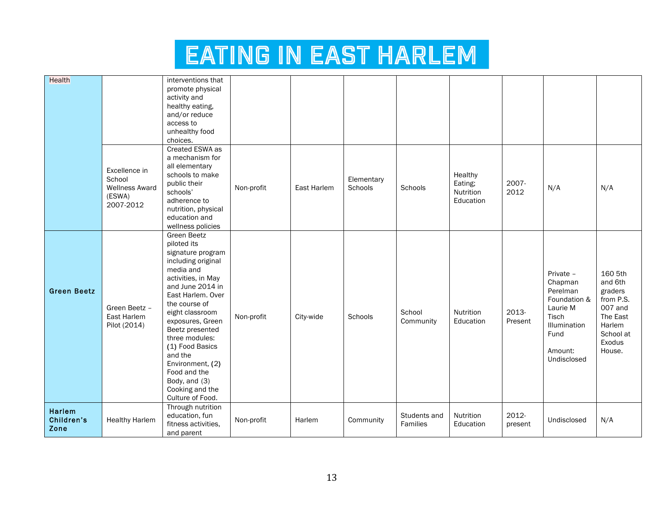| Health                       |                                                                         | interventions that<br>promote physical<br>activity and<br>healthy eating,<br>and/or reduce<br>access to<br>unhealthy food<br>choices.                                                                                                                                                                                                                                           |            |             |                       |                          |                                              |                  |                                                                                                                         |                                                                                                              |
|------------------------------|-------------------------------------------------------------------------|---------------------------------------------------------------------------------------------------------------------------------------------------------------------------------------------------------------------------------------------------------------------------------------------------------------------------------------------------------------------------------|------------|-------------|-----------------------|--------------------------|----------------------------------------------|------------------|-------------------------------------------------------------------------------------------------------------------------|--------------------------------------------------------------------------------------------------------------|
|                              | Excellence in<br>School<br><b>Wellness Award</b><br>(ESWA)<br>2007-2012 | Created ESWA as<br>a mechanism for<br>all elementary<br>schools to make<br>public their<br>schools'<br>adherence to<br>nutrition, physical<br>education and<br>wellness policies                                                                                                                                                                                                | Non-profit | East Harlem | Elementary<br>Schools | Schools                  | Healthy<br>Eating;<br>Nutrition<br>Education | 2007-<br>2012    | N/A                                                                                                                     | N/A                                                                                                          |
| <b>Green Beetz</b>           | Green Beetz -<br>East Harlem<br>Pilot (2014)                            | <b>Green Beetz</b><br>piloted its<br>signature program<br>including original<br>media and<br>activities, in May<br>and June 2014 in<br>East Harlem. Over<br>the course of<br>eight classroom<br>exposures, Green<br>Beetz presented<br>three modules:<br>(1) Food Basics<br>and the<br>Environment, (2)<br>Food and the<br>Body, and (3)<br>Cooking and the<br>Culture of Food. | Non-profit | City-wide   | Schools               | School<br>Community      | Nutrition<br>Education                       | 2013-<br>Present | Private -<br>Chapman<br>Perelman<br>Foundation &<br>Laurie M<br>Tisch<br>Illumination<br>Fund<br>Amount:<br>Undisclosed | 160 5th<br>and 6th<br>graders<br>from P.S.<br>007 and<br>The East<br>Harlem<br>School at<br>Exodus<br>House. |
| Harlem<br>Children's<br>Zone | <b>Healthy Harlem</b>                                                   | Through nutrition<br>education, fun<br>fitness activities,<br>and parent                                                                                                                                                                                                                                                                                                        | Non-profit | Harlem      | Community             | Students and<br>Families | Nutrition<br>Education                       | 2012-<br>present | Undisclosed                                                                                                             | N/A                                                                                                          |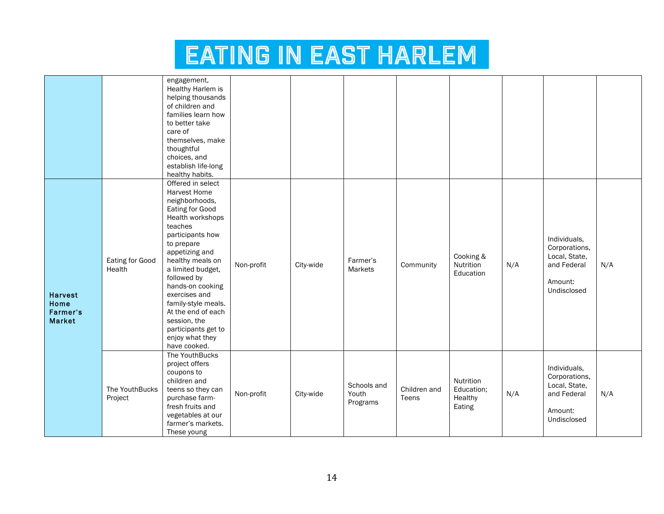|                                                     |                           | engagement,<br>Healthy Harlem is<br>helping thousands<br>of children and<br>families learn how<br>to better take<br>care of<br>themselves, make<br>thoughtful<br>choices, and<br>establish life-long<br>healthy habits.                                                                                                                                                       |            |           |                                  |                       |                                              |     |                                                                                         |     |
|-----------------------------------------------------|---------------------------|-------------------------------------------------------------------------------------------------------------------------------------------------------------------------------------------------------------------------------------------------------------------------------------------------------------------------------------------------------------------------------|------------|-----------|----------------------------------|-----------------------|----------------------------------------------|-----|-----------------------------------------------------------------------------------------|-----|
| <b>Harvest</b><br>Home<br>Farmer's<br><b>Market</b> | Eating for Good<br>Health | Offered in select<br>Harvest Home<br>neighborhoods,<br>Eating for Good<br>Health workshops<br>teaches<br>participants how<br>to prepare<br>appetizing and<br>healthy meals on<br>a limited budget,<br>followed by<br>hands-on cooking<br>exercises and<br>family-style meals.<br>At the end of each<br>session, the<br>participants get to<br>enjoy what they<br>have cooked. | Non-profit | City-wide | Farmer's<br>Markets              | Community             | Cooking &<br>Nutrition<br>Education          | N/A | Individuals,<br>Corporations,<br>Local, State,<br>and Federal<br>Amount:<br>Undisclosed | N/A |
|                                                     | The YouthBucks<br>Project | The YouthBucks<br>project offers<br>coupons to<br>children and<br>teens so they can<br>purchase farm-<br>fresh fruits and<br>vegetables at our<br>farmer's markets.<br>These young                                                                                                                                                                                            | Non-profit | City-wide | Schools and<br>Youth<br>Programs | Children and<br>Teens | Nutrition<br>Education;<br>Healthy<br>Eating | N/A | Individuals.<br>Corporations,<br>Local, State,<br>and Federal<br>Amount:<br>Undisclosed | N/A |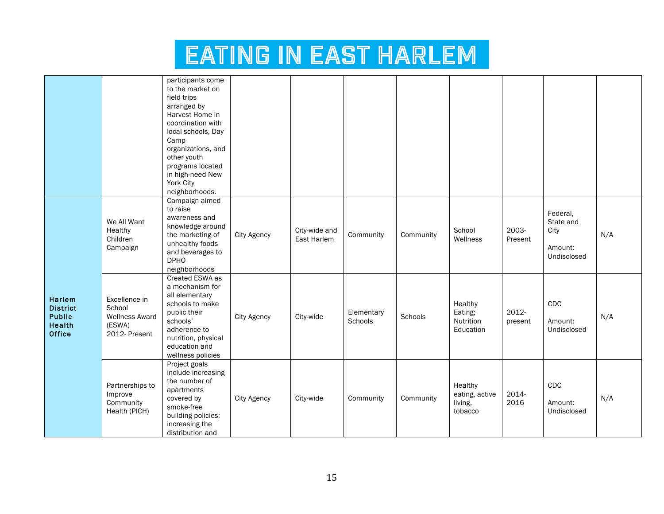|                                                                                     |                                                                             | participants come<br>to the market on<br>field trips<br>arranged by<br>Harvest Home in<br>coordination with<br>local schools, Day<br>Camp<br>organizations, and<br>other youth<br>programs located<br>in high-need New<br>York City<br>neighborhoods. |                    |                              |                       |           |                                                 |                  |                                                         |     |
|-------------------------------------------------------------------------------------|-----------------------------------------------------------------------------|-------------------------------------------------------------------------------------------------------------------------------------------------------------------------------------------------------------------------------------------------------|--------------------|------------------------------|-----------------------|-----------|-------------------------------------------------|------------------|---------------------------------------------------------|-----|
|                                                                                     | We All Want<br>Healthy<br>Children<br>Campaign                              | Campaign aimed<br>to raise<br>awareness and<br>knowledge around<br>the marketing of<br>unhealthy foods<br>and beverages to<br><b>DPHO</b><br>neighborhoods                                                                                            | City Agency        | City-wide and<br>East Harlem | Community             | Community | School<br>Wellness                              | 2003-<br>Present | Federal,<br>State and<br>City<br>Amount:<br>Undisclosed | N/A |
| <b>Harlem</b><br><b>District</b><br><b>Public</b><br><b>Health</b><br><b>Office</b> | Excellence in<br>School<br><b>Wellness Award</b><br>(ESWA)<br>2012- Present | Created ESWA as<br>a mechanism for<br>all elementary<br>schools to make<br>public their<br>schools'<br>adherence to<br>nutrition, physical<br>education and<br>wellness policies                                                                      | City Agency        | City-wide                    | Elementary<br>Schools | Schools   | Healthy<br>Eating;<br>Nutrition<br>Education    | 2012-<br>present | CDC<br>Amount:<br>Undisclosed                           | N/A |
|                                                                                     | Partnerships to<br>Improve<br>Community<br>Health (PICH)                    | Project goals<br>include increasing<br>the number of<br>apartments<br>covered by<br>smoke-free<br>building policies;<br>increasing the<br>distribution and                                                                                            | <b>City Agency</b> | City-wide                    | Community             | Community | Healthy<br>eating, active<br>living,<br>tobacco | 2014-<br>2016    | CDC<br>Amount:<br>Undisclosed                           | N/A |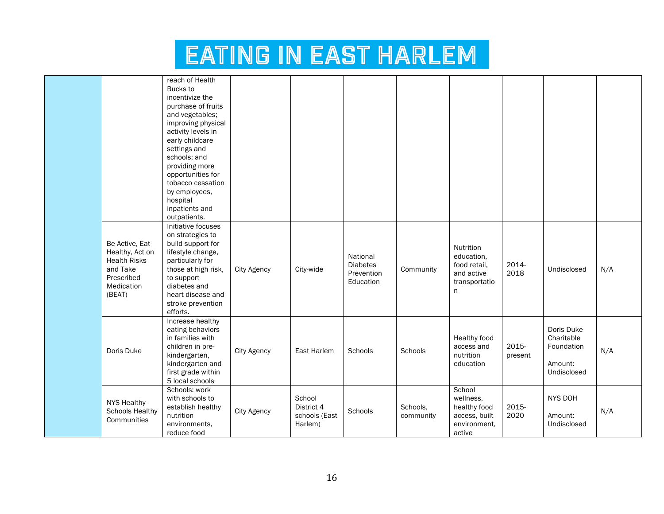|                                                                                                            | reach of Health<br>Bucks to<br>incentivize the<br>purchase of fruits<br>and vegetables;<br>improving physical<br>activity levels in<br>early childcare<br>settings and<br>schools; and<br>providing more<br>opportunities for<br>tobacco cessation<br>by employees,<br>hospital<br>inpatients and<br>outpatients. |                    |                                                  |                                                        |                       |                                                                                |                  |                                                                  |     |
|------------------------------------------------------------------------------------------------------------|-------------------------------------------------------------------------------------------------------------------------------------------------------------------------------------------------------------------------------------------------------------------------------------------------------------------|--------------------|--------------------------------------------------|--------------------------------------------------------|-----------------------|--------------------------------------------------------------------------------|------------------|------------------------------------------------------------------|-----|
| Be Active, Eat<br>Healthy, Act on<br><b>Health Risks</b><br>and Take<br>Prescribed<br>Medication<br>(BEAT) | Initiative focuses<br>on strategies to<br>build support for<br>lifestyle change,<br>particularly for<br>those at high risk,<br>to support<br>diabetes and<br>heart disease and<br>stroke prevention<br>efforts.                                                                                                   | <b>City Agency</b> | City-wide                                        | National<br><b>Diabetes</b><br>Prevention<br>Education | Community             | Nutrition<br>education,<br>food retail,<br>and active<br>transportatio<br>n    | 2014-<br>2018    | Undisclosed                                                      | N/A |
| Doris Duke                                                                                                 | Increase healthy<br>eating behaviors<br>in families with<br>children in pre-<br>kindergarten,<br>kindergarten and<br>first grade within<br>5 local schools                                                                                                                                                        | City Agency        | East Harlem                                      | Schools                                                | Schools               | Healthy food<br>access and<br>nutrition<br>education                           | 2015-<br>present | Doris Duke<br>Charitable<br>Foundation<br>Amount:<br>Undisclosed | N/A |
| <b>NYS Healthy</b><br><b>Schools Healthy</b><br>Communities                                                | Schools: work<br>with schools to<br>establish healthy<br>nutrition<br>environments,<br>reduce food                                                                                                                                                                                                                | <b>City Agency</b> | School<br>District 4<br>schools (East<br>Harlem) | Schools                                                | Schools,<br>community | School<br>wellness,<br>healthy food<br>access, built<br>environment.<br>active | 2015-<br>2020    | NYS DOH<br>Amount:<br>Undisclosed                                | N/A |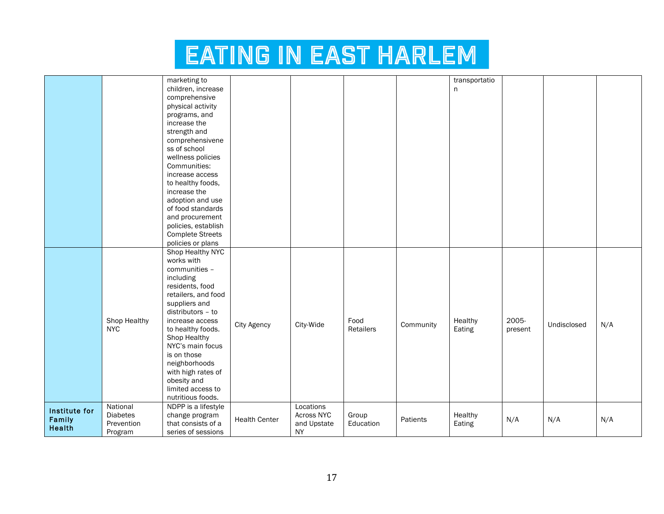|               |                 | marketing to            |                      |             |           |           | transportatio |         |             |     |
|---------------|-----------------|-------------------------|----------------------|-------------|-----------|-----------|---------------|---------|-------------|-----|
|               |                 | children, increase      |                      |             |           |           | n             |         |             |     |
|               |                 | comprehensive           |                      |             |           |           |               |         |             |     |
|               |                 | physical activity       |                      |             |           |           |               |         |             |     |
|               |                 | programs, and           |                      |             |           |           |               |         |             |     |
|               |                 | increase the            |                      |             |           |           |               |         |             |     |
|               |                 | strength and            |                      |             |           |           |               |         |             |     |
|               |                 | comprehensivene         |                      |             |           |           |               |         |             |     |
|               |                 | ss of school            |                      |             |           |           |               |         |             |     |
|               |                 | wellness policies       |                      |             |           |           |               |         |             |     |
|               |                 | Communities:            |                      |             |           |           |               |         |             |     |
|               |                 |                         |                      |             |           |           |               |         |             |     |
|               |                 | increase access         |                      |             |           |           |               |         |             |     |
|               |                 | to healthy foods,       |                      |             |           |           |               |         |             |     |
|               |                 | increase the            |                      |             |           |           |               |         |             |     |
|               |                 | adoption and use        |                      |             |           |           |               |         |             |     |
|               |                 | of food standards       |                      |             |           |           |               |         |             |     |
|               |                 | and procurement         |                      |             |           |           |               |         |             |     |
|               |                 | policies, establish     |                      |             |           |           |               |         |             |     |
|               |                 | <b>Complete Streets</b> |                      |             |           |           |               |         |             |     |
|               |                 | policies or plans       |                      |             |           |           |               |         |             |     |
|               |                 | Shop Healthy NYC        |                      |             |           |           |               |         |             |     |
|               |                 | works with              |                      |             |           |           |               |         |             |     |
|               |                 | communities -           |                      |             |           |           |               |         |             |     |
|               |                 | including               |                      |             |           |           |               |         |             |     |
|               |                 | residents, food         |                      |             |           |           |               |         |             |     |
|               |                 | retailers, and food     |                      |             |           |           |               |         |             |     |
|               |                 | suppliers and           |                      |             |           |           |               |         |             |     |
|               |                 | distributors - to       |                      |             |           |           |               |         |             |     |
|               | Shop Healthy    | increase access         | <b>City Agency</b>   | City-Wide   | Food      | Community | Healthy       | 2005-   | Undisclosed | N/A |
|               | <b>NYC</b>      | to healthy foods.       |                      |             | Retailers |           | Eating        | present |             |     |
|               |                 | Shop Healthy            |                      |             |           |           |               |         |             |     |
|               |                 | NYC's main focus        |                      |             |           |           |               |         |             |     |
|               |                 | is on those             |                      |             |           |           |               |         |             |     |
|               |                 | neighborhoods           |                      |             |           |           |               |         |             |     |
|               |                 | with high rates of      |                      |             |           |           |               |         |             |     |
|               |                 | obesity and             |                      |             |           |           |               |         |             |     |
|               |                 | limited access to       |                      |             |           |           |               |         |             |     |
|               |                 | nutritious foods.       |                      |             |           |           |               |         |             |     |
| Institute for | National        | NDPP is a lifestyle     |                      | Locations   |           |           |               |         |             |     |
| Family        | <b>Diabetes</b> | change program          | <b>Health Center</b> | Across NYC  | Group     | Patients  | Healthy       | N/A     |             |     |
| Health        | Prevention      | that consists of a      |                      | and Upstate | Education |           | Eating        |         | N/A         | N/A |
|               | Program         | series of sessions      |                      | <b>NY</b>   |           |           |               |         |             |     |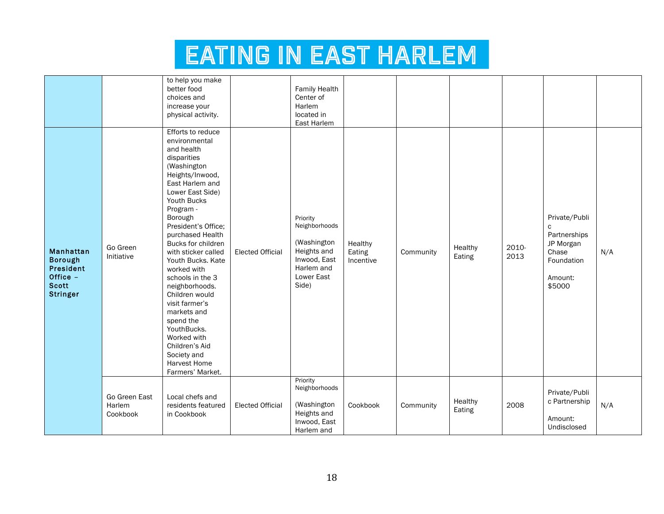|                                                                                         |                                     | to help you make<br>better food<br>choices and<br>increase your<br>physical activity.                                                                                                                                                                                                                                                                                                                                                                                                                                       |                         | <b>Family Health</b><br>Center of<br>Harlem<br>located in<br>East Harlem                                     |                                |           |                   |               |                                                                                             |     |
|-----------------------------------------------------------------------------------------|-------------------------------------|-----------------------------------------------------------------------------------------------------------------------------------------------------------------------------------------------------------------------------------------------------------------------------------------------------------------------------------------------------------------------------------------------------------------------------------------------------------------------------------------------------------------------------|-------------------------|--------------------------------------------------------------------------------------------------------------|--------------------------------|-----------|-------------------|---------------|---------------------------------------------------------------------------------------------|-----|
| Manhattan<br><b>Borough</b><br>President<br>Office -<br><b>Scott</b><br><b>Stringer</b> | Go Green<br>Initiative              | Efforts to reduce<br>environmental<br>and health<br>disparities<br>(Washington<br>Heights/Inwood,<br>East Harlem and<br>Lower East Side)<br>Youth Bucks<br>Program -<br>Borough<br>President's Office;<br>purchased Health<br>Bucks for children<br>with sticker called<br>Youth Bucks. Kate<br>worked with<br>schools in the 3<br>neighborhoods.<br>Children would<br>visit farmer's<br>markets and<br>spend the<br>YouthBucks.<br>Worked with<br>Children's Aid<br>Society and<br><b>Harvest Home</b><br>Farmers' Market. | <b>Elected Official</b> | Priority<br>Neighborhoods<br>(Washington<br>Heights and<br>Inwood, East<br>Harlem and<br>Lower East<br>Side) | Healthy<br>Eating<br>Incentive | Community | Healthy<br>Eating | 2010-<br>2013 | Private/Publi<br>C<br>Partnerships<br>JP Morgan<br>Chase<br>Foundation<br>Amount:<br>\$5000 | N/A |
|                                                                                         | Go Green East<br>Harlem<br>Cookbook | Local chefs and<br>residents featured<br>in Cookbook                                                                                                                                                                                                                                                                                                                                                                                                                                                                        | <b>Elected Official</b> | Priority<br>Neighborhoods<br>(Washington<br>Heights and<br>Inwood, East<br>Harlem and                        | Cookbook                       | Community | Healthy<br>Eating | 2008          | Private/Publi<br>c Partnership<br>Amount:<br>Undisclosed                                    | N/A |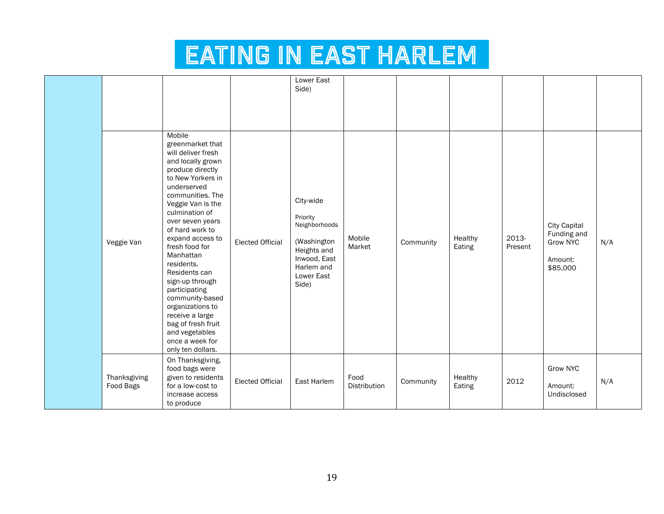|                           |                                                                                                                                                                                                                                                                                                                                                                                                                                                                                                 |                         | <b>Lower East</b><br>Side)                                                                                                |                      |           |                   |                  |                                                                       |     |
|---------------------------|-------------------------------------------------------------------------------------------------------------------------------------------------------------------------------------------------------------------------------------------------------------------------------------------------------------------------------------------------------------------------------------------------------------------------------------------------------------------------------------------------|-------------------------|---------------------------------------------------------------------------------------------------------------------------|----------------------|-----------|-------------------|------------------|-----------------------------------------------------------------------|-----|
| Veggie Van                | Mobile<br>greenmarket that<br>will deliver fresh<br>and locally grown<br>produce directly<br>to New Yorkers in<br>underserved<br>communities. The<br>Veggie Van is the<br>culmination of<br>over seven years<br>of hard work to<br>expand access to<br>fresh food for<br>Manhattan<br>residents.<br>Residents can<br>sign-up through<br>participating<br>community-based<br>organizations to<br>receive a large<br>bag of fresh fruit<br>and vegetables<br>once a week for<br>only ten dollars. | <b>Elected Official</b> | City-wide<br>Priority<br>Neighborhoods<br>(Washington<br>Heights and<br>Inwood, East<br>Harlem and<br>Lower East<br>Side) | Mobile<br>Market     | Community | Healthy<br>Eating | 2013-<br>Present | <b>City Capital</b><br>Funding and<br>Grow NYC<br>Amount:<br>\$85,000 | N/A |
| Thanksgiving<br>Food Bags | On Thanksgiving,<br>food bags were<br>given to residents<br>for a low-cost to<br>increase access<br>to produce                                                                                                                                                                                                                                                                                                                                                                                  | <b>Elected Official</b> | East Harlem                                                                                                               | Food<br>Distribution | Community | Healthy<br>Eating | 2012             | Grow NYC<br>Amount:<br>Undisclosed                                    | N/A |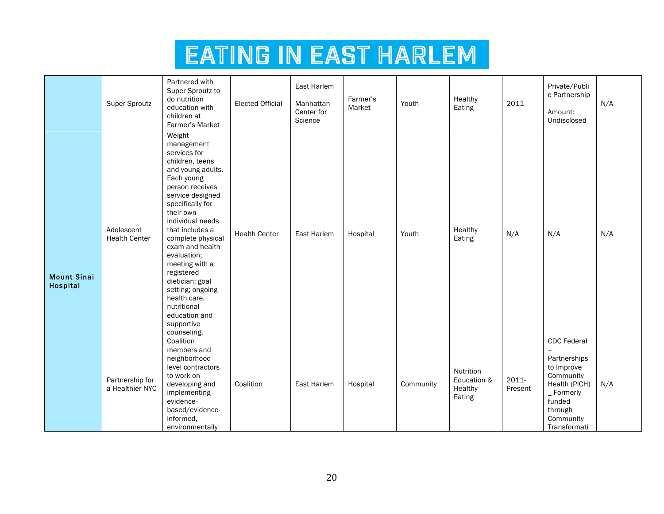|                                | Super Sproutz                      | Partnered with<br>Super Sproutz to<br>do nutrition<br>education with<br>children at<br>Farmer's Market                                                                                                                                                                                                                                                                                                               | <b>Elected Official</b> | East Harlem<br>Manhattan<br>Center for<br>Science | Farmer's<br>Market | Youth     | Healthy<br>Eating                             | 2011             | Private/Publi<br>c Partnership<br>Amount:<br>Undisclosed                                                                                          | N/A |
|--------------------------------|------------------------------------|----------------------------------------------------------------------------------------------------------------------------------------------------------------------------------------------------------------------------------------------------------------------------------------------------------------------------------------------------------------------------------------------------------------------|-------------------------|---------------------------------------------------|--------------------|-----------|-----------------------------------------------|------------------|---------------------------------------------------------------------------------------------------------------------------------------------------|-----|
| <b>Mount Sinai</b><br>Hospital | Adolescent<br><b>Health Center</b> | Weight<br>management<br>services for<br>children, teens<br>and young adults.<br>Each young<br>person receives<br>service designed<br>specifically for<br>their own<br>individual needs<br>that includes a<br>complete physical<br>exam and health<br>evaluation;<br>meeting with a<br>registered<br>dietician; goal<br>setting; ongoing<br>health care,<br>nutritional<br>education and<br>supportive<br>counseling. | <b>Health Center</b>    | East Harlem                                       | Hospital           | Youth     | Healthy<br>Eating                             | N/A              | N/A                                                                                                                                               | N/A |
|                                | Partnership for<br>a Healthier NYC | Coalition<br>members and<br>neighborhood<br>level contractors<br>to work on<br>developing and<br>implementing<br>evidence-<br>based/evidence-<br>informed,<br>environmentally                                                                                                                                                                                                                                        | Coalition               | East Harlem                                       | Hospital           | Community | Nutrition<br>Education &<br>Healthy<br>Eating | 2011-<br>Present | <b>CDC</b> Federal<br>Partnerships<br>to Improve<br>Community<br>Health (PICH)<br>$\_$ Formerly<br>funded<br>through<br>Community<br>Transformati | N/A |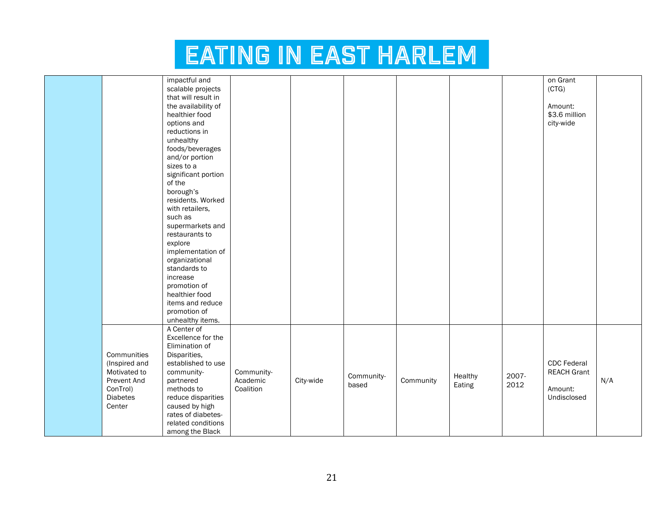|                 | impactful and       |            |           |            |           |         |       | on Grant           |     |
|-----------------|---------------------|------------|-----------|------------|-----------|---------|-------|--------------------|-----|
|                 |                     |            |           |            |           |         |       |                    |     |
|                 | scalable projects   |            |           |            |           |         |       | (CTG)              |     |
|                 | that will result in |            |           |            |           |         |       |                    |     |
|                 | the availability of |            |           |            |           |         |       | Amount:            |     |
|                 | healthier food      |            |           |            |           |         |       | \$3.6 million      |     |
|                 | options and         |            |           |            |           |         |       | city-wide          |     |
|                 | reductions in       |            |           |            |           |         |       |                    |     |
|                 | unhealthy           |            |           |            |           |         |       |                    |     |
|                 | foods/beverages     |            |           |            |           |         |       |                    |     |
|                 | and/or portion      |            |           |            |           |         |       |                    |     |
|                 | sizes to a          |            |           |            |           |         |       |                    |     |
|                 | significant portion |            |           |            |           |         |       |                    |     |
|                 | of the              |            |           |            |           |         |       |                    |     |
|                 | borough's           |            |           |            |           |         |       |                    |     |
|                 | residents. Worked   |            |           |            |           |         |       |                    |     |
|                 | with retailers,     |            |           |            |           |         |       |                    |     |
|                 | such as             |            |           |            |           |         |       |                    |     |
|                 | supermarkets and    |            |           |            |           |         |       |                    |     |
|                 |                     |            |           |            |           |         |       |                    |     |
|                 | restaurants to      |            |           |            |           |         |       |                    |     |
|                 | explore             |            |           |            |           |         |       |                    |     |
|                 | implementation of   |            |           |            |           |         |       |                    |     |
|                 | organizational      |            |           |            |           |         |       |                    |     |
|                 | standards to        |            |           |            |           |         |       |                    |     |
|                 | increase            |            |           |            |           |         |       |                    |     |
|                 | promotion of        |            |           |            |           |         |       |                    |     |
|                 | healthier food      |            |           |            |           |         |       |                    |     |
|                 | items and reduce    |            |           |            |           |         |       |                    |     |
|                 | promotion of        |            |           |            |           |         |       |                    |     |
|                 | unhealthy items.    |            |           |            |           |         |       |                    |     |
|                 | A Center of         |            |           |            |           |         |       |                    |     |
|                 | Excellence for the  |            |           |            |           |         |       |                    |     |
|                 | Elimination of      |            |           |            |           |         |       |                    |     |
| Communities     | Disparities,        |            |           |            |           |         |       |                    |     |
| (Inspired and   | established to use  |            |           |            |           |         |       | <b>CDC</b> Federal |     |
| Motivated to    | community-          | Community- |           |            |           |         |       | <b>REACH Grant</b> |     |
| Prevent And     | partnered           | Academic   | City-wide | Community- | Community | Healthy | 2007- |                    | N/A |
|                 |                     | Coalition  |           | based      |           | Eating  | 2012  |                    |     |
| ConTrol)        | methods to          |            |           |            |           |         |       | Amount:            |     |
| <b>Diabetes</b> | reduce disparities  |            |           |            |           |         |       | Undisclosed        |     |
| Center          | caused by high      |            |           |            |           |         |       |                    |     |
|                 | rates of diabetes-  |            |           |            |           |         |       |                    |     |
|                 | related conditions  |            |           |            |           |         |       |                    |     |
|                 | among the Black     |            |           |            |           |         |       |                    |     |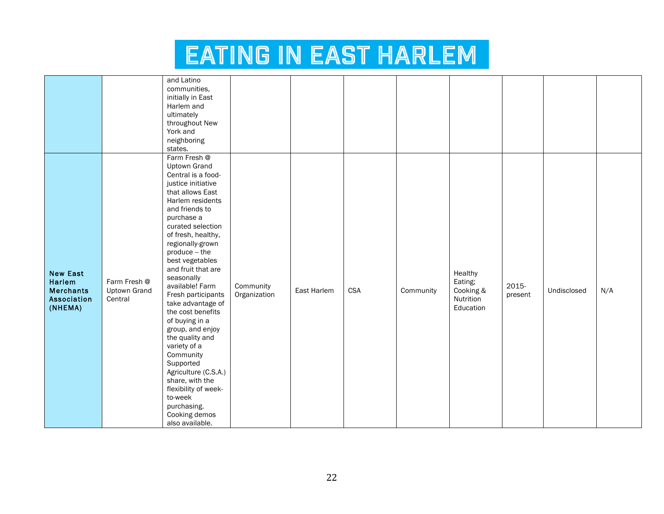|                                                                                |                                                | and Latino                                                                                                                                                                                                                                                                                                                                                                                    |                           |             |            |           |                                                           |                  |             |     |
|--------------------------------------------------------------------------------|------------------------------------------------|-----------------------------------------------------------------------------------------------------------------------------------------------------------------------------------------------------------------------------------------------------------------------------------------------------------------------------------------------------------------------------------------------|---------------------------|-------------|------------|-----------|-----------------------------------------------------------|------------------|-------------|-----|
|                                                                                |                                                | communities,                                                                                                                                                                                                                                                                                                                                                                                  |                           |             |            |           |                                                           |                  |             |     |
|                                                                                |                                                | initially in East                                                                                                                                                                                                                                                                                                                                                                             |                           |             |            |           |                                                           |                  |             |     |
|                                                                                |                                                | Harlem and                                                                                                                                                                                                                                                                                                                                                                                    |                           |             |            |           |                                                           |                  |             |     |
|                                                                                |                                                | ultimately                                                                                                                                                                                                                                                                                                                                                                                    |                           |             |            |           |                                                           |                  |             |     |
|                                                                                |                                                | throughout New                                                                                                                                                                                                                                                                                                                                                                                |                           |             |            |           |                                                           |                  |             |     |
|                                                                                |                                                | York and                                                                                                                                                                                                                                                                                                                                                                                      |                           |             |            |           |                                                           |                  |             |     |
|                                                                                |                                                | neighboring                                                                                                                                                                                                                                                                                                                                                                                   |                           |             |            |           |                                                           |                  |             |     |
| <b>New East</b><br><b>Harlem</b><br><b>Merchants</b><br>Association<br>(NHEMA) | Farm Fresh @<br><b>Uptown Grand</b><br>Central | states.<br>Farm Fresh @<br><b>Uptown Grand</b><br>Central is a food-<br>justice initiative<br>that allows East<br>Harlem residents<br>and friends to<br>purchase a<br>curated selection<br>of fresh, healthy,<br>regionally-grown<br>produce -- the<br>best vegetables<br>and fruit that are<br>seasonally<br>available! Farm<br>Fresh participants<br>take advantage of<br>the cost benefits | Community<br>Organization | East Harlem | <b>CSA</b> | Community | Healthy<br>Eating;<br>Cooking &<br>Nutrition<br>Education | 2015-<br>present | Undisclosed | N/A |
|                                                                                |                                                | of buying in a<br>group, and enjoy<br>the quality and<br>variety of a<br>Community<br>Supported<br>Agriculture (C.S.A.)<br>share, with the<br>flexibility of week-<br>to-week<br>purchasing.<br>Cooking demos<br>also available.                                                                                                                                                              |                           |             |            |           |                                                           |                  |             |     |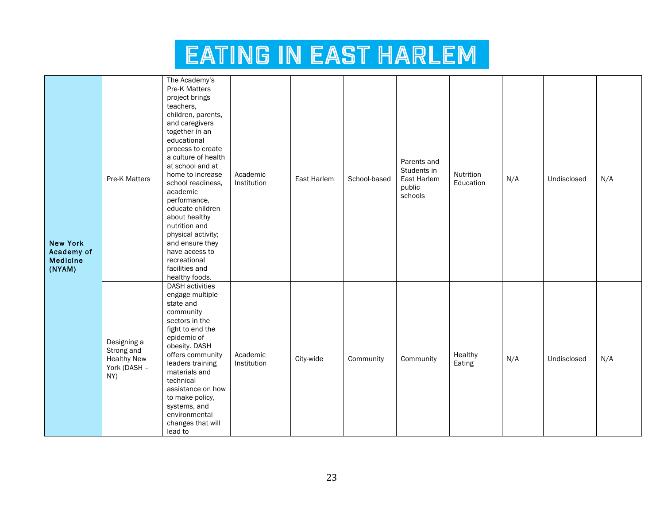| <b>New York</b><br>Academy of<br><b>Medicine</b><br>(NYAM) | Pre-K Matters                                                          | The Academy's<br>Pre-K Matters<br>project brings<br>teachers,<br>children, parents,<br>and caregivers<br>together in an<br>educational<br>process to create<br>a culture of health<br>at school and at<br>home to increase<br>school readiness,<br>academic<br>performance,<br>educate children<br>about healthy<br>nutrition and<br>physical activity;<br>and ensure they<br>have access to<br>recreational<br>facilities and<br>healthy foods. | Academic<br>Institution | East Harlem | School-based | Parents and<br>Students in<br>East Harlem<br>public<br>schools | Nutrition<br>Education | N/A | Undisclosed | N/A |
|------------------------------------------------------------|------------------------------------------------------------------------|--------------------------------------------------------------------------------------------------------------------------------------------------------------------------------------------------------------------------------------------------------------------------------------------------------------------------------------------------------------------------------------------------------------------------------------------------|-------------------------|-------------|--------------|----------------------------------------------------------------|------------------------|-----|-------------|-----|
|                                                            | Designing a<br>Strong and<br><b>Healthy New</b><br>York (DASH -<br>NY) | <b>DASH</b> activities<br>engage multiple<br>state and<br>community<br>sectors in the<br>fight to end the<br>epidemic of<br>obesity. DASH<br>offers community<br>leaders training<br>materials and<br>technical<br>assistance on how<br>to make policy,<br>systems, and<br>environmental<br>changes that will<br>lead to                                                                                                                         | Academic<br>Institution | City-wide   | Community    | Community                                                      | Healthy<br>Eating      | N/A | Undisclosed | N/A |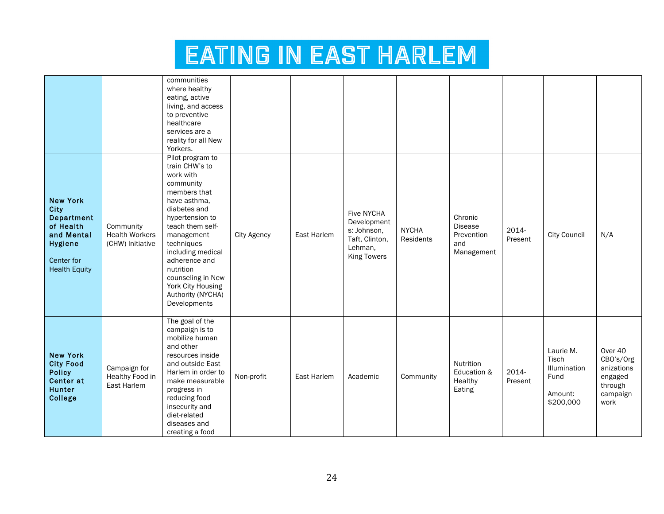|                                                                                                                   |                                                        | communities<br>where healthy<br>eating, active<br>living, and access<br>to preventive<br>healthcare<br>services are a<br>reality for all New<br>Yorkers.                                                                                                                                                          |             |                    |                                                                                                    |                           |                                                              |                  |                                                                    |                                                                              |
|-------------------------------------------------------------------------------------------------------------------|--------------------------------------------------------|-------------------------------------------------------------------------------------------------------------------------------------------------------------------------------------------------------------------------------------------------------------------------------------------------------------------|-------------|--------------------|----------------------------------------------------------------------------------------------------|---------------------------|--------------------------------------------------------------|------------------|--------------------------------------------------------------------|------------------------------------------------------------------------------|
| <b>New York</b><br>City<br>Department<br>of Health<br>and Mental<br>Hygiene<br>Center for<br><b>Health Equity</b> | Community<br><b>Health Workers</b><br>(CHW) Initiative | Pilot program to<br>train CHW's to<br>work with<br>community<br>members that<br>have asthma,<br>diabetes and<br>hypertension to<br>teach them self-<br>management<br>techniques<br>including medical<br>adherence and<br>nutrition<br>counseling in New<br>York City Housing<br>Authority (NYCHA)<br>Developments | City Agency | <b>East Harlem</b> | <b>Five NYCHA</b><br>Development<br>s: Johnson,<br>Taft, Clinton,<br>Lehman,<br><b>King Towers</b> | <b>NYCHA</b><br>Residents | Chronic<br><b>Disease</b><br>Prevention<br>and<br>Management | 2014-<br>Present | <b>City Council</b>                                                | N/A                                                                          |
| <b>New York</b><br><b>City Food</b><br><b>Policy</b><br>Center at<br>Hunter<br>College                            | Campaign for<br>Healthy Food in<br>East Harlem         | The goal of the<br>campaign is to<br>mobilize human<br>and other<br>resources inside<br>and outside East<br>Harlem in order to<br>make measurable<br>progress in<br>reducing food<br>insecurity and<br>diet-related<br>diseases and<br>creating a food                                                            | Non-profit  | East Harlem        | Academic                                                                                           | Community                 | Nutrition<br>Education &<br>Healthy<br>Eating                | 2014-<br>Present | Laurie M.<br>Tisch<br>Illumination<br>Fund<br>Amount:<br>\$200,000 | Over 40<br>CBO's/Org<br>anizations<br>engaged<br>through<br>campaign<br>work |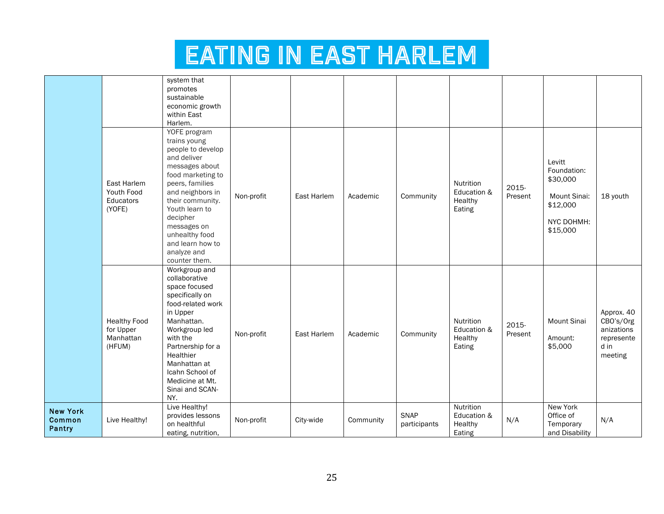|                                     |                                                         | system that<br>promotes<br>sustainable<br>economic growth<br>within East<br>Harlem.                                                                                                                                                                                                   |            |             |           |                      |                                               |                  |                                                                                         |                                                                        |
|-------------------------------------|---------------------------------------------------------|---------------------------------------------------------------------------------------------------------------------------------------------------------------------------------------------------------------------------------------------------------------------------------------|------------|-------------|-----------|----------------------|-----------------------------------------------|------------------|-----------------------------------------------------------------------------------------|------------------------------------------------------------------------|
|                                     | East Harlem<br>Youth Food<br>Educators<br>(YOFE)        | YOFE program<br>trains young<br>people to develop<br>and deliver<br>messages about<br>food marketing to<br>peers, families<br>and neighbors in<br>their community.<br>Youth learn to<br>decipher<br>messages on<br>unhealthy food<br>and learn how to<br>analyze and<br>counter them. | Non-profit | East Harlem | Academic  | Community            | Nutrition<br>Education &<br>Healthy<br>Eating | 2015-<br>Present | Levitt<br>Foundation:<br>\$30,000<br>Mount Sinai:<br>\$12,000<br>NYC DOHMH:<br>\$15,000 | 18 youth                                                               |
|                                     | <b>Healthy Food</b><br>for Upper<br>Manhattan<br>(HFUM) | Workgroup and<br>collaborative<br>space focused<br>specifically on<br>food-related work<br>in Upper<br>Manhattan.<br>Workgroup led<br>with the<br>Partnership for a<br>Healthier<br>Manhattan at<br>Icahn School of<br>Medicine at Mt.<br>Sinai and SCAN-<br>NY.                      | Non-profit | East Harlem | Academic  | Community            | Nutrition<br>Education &<br>Healthy<br>Eating | 2015-<br>Present | <b>Mount Sinai</b><br>Amount:<br>\$5,000                                                | Approx. 40<br>CBO's/Org<br>anizations<br>represente<br>d in<br>meeting |
| <b>New York</b><br>Common<br>Pantry | Live Healthy!                                           | Live Healthy!<br>provides lessons<br>on healthful<br>eating, nutrition,                                                                                                                                                                                                               | Non-profit | City-wide   | Community | SNAP<br>participants | Nutrition<br>Education &<br>Healthy<br>Eating | N/A              | New York<br>Office of<br>Temporary<br>and Disability                                    | N/A                                                                    |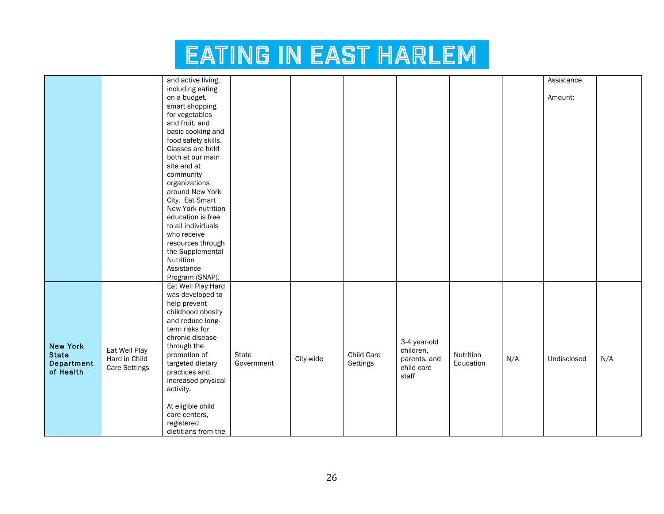|                   |                      | and active living,  |            |           |            |              |           |     | Assistance  |     |
|-------------------|----------------------|---------------------|------------|-----------|------------|--------------|-----------|-----|-------------|-----|
|                   |                      |                     |            |           |            |              |           |     |             |     |
|                   |                      | including eating    |            |           |            |              |           |     |             |     |
|                   |                      | on a budget,        |            |           |            |              |           |     | Amount:     |     |
|                   |                      | smart shopping      |            |           |            |              |           |     |             |     |
|                   |                      | for vegetables      |            |           |            |              |           |     |             |     |
|                   |                      | and fruit, and      |            |           |            |              |           |     |             |     |
|                   |                      | basic cooking and   |            |           |            |              |           |     |             |     |
|                   |                      | food safety skills. |            |           |            |              |           |     |             |     |
|                   |                      | Classes are held    |            |           |            |              |           |     |             |     |
|                   |                      | both at our main    |            |           |            |              |           |     |             |     |
|                   |                      | site and at         |            |           |            |              |           |     |             |     |
|                   |                      | community           |            |           |            |              |           |     |             |     |
|                   |                      | organizations       |            |           |            |              |           |     |             |     |
|                   |                      | around New York     |            |           |            |              |           |     |             |     |
|                   |                      | City. Eat Smart     |            |           |            |              |           |     |             |     |
|                   |                      | New York nutrition  |            |           |            |              |           |     |             |     |
|                   |                      | education is free   |            |           |            |              |           |     |             |     |
|                   |                      | to all individuals  |            |           |            |              |           |     |             |     |
|                   |                      | who receive         |            |           |            |              |           |     |             |     |
|                   |                      | resources through   |            |           |            |              |           |     |             |     |
|                   |                      | the Supplemental    |            |           |            |              |           |     |             |     |
|                   |                      | Nutrition           |            |           |            |              |           |     |             |     |
|                   |                      |                     |            |           |            |              |           |     |             |     |
|                   |                      | Assistance          |            |           |            |              |           |     |             |     |
|                   |                      | Program (SNAP).     |            |           |            |              |           |     |             |     |
|                   |                      | Eat Well Play Hard  |            |           |            |              |           |     |             |     |
|                   |                      | was developed to    |            |           |            |              |           |     |             |     |
|                   |                      | help prevent        |            |           |            |              |           |     |             |     |
|                   |                      | childhood obesity   |            |           |            |              |           |     |             |     |
|                   |                      | and reduce long-    |            |           |            |              |           |     |             |     |
|                   |                      | term risks for      |            |           |            |              |           |     |             |     |
|                   |                      | chronic disease     |            |           |            | 3-4 year-old |           |     |             |     |
| <b>New York</b>   | Eat Well Play        | through the         |            |           |            | children,    |           |     |             |     |
| <b>State</b>      | Hard in Child        | promotion of        | State      | City-wide | Child Care | parents, and | Nutrition | N/A | Undisclosed | N/A |
| <b>Department</b> | <b>Care Settings</b> | targeted dietary    | Government |           | Settings   | child care   | Education |     |             |     |
| of Health         |                      | practices and       |            |           |            | staff        |           |     |             |     |
|                   |                      | increased physical  |            |           |            |              |           |     |             |     |
|                   |                      | activity.           |            |           |            |              |           |     |             |     |
|                   |                      |                     |            |           |            |              |           |     |             |     |
|                   |                      | At eligible child   |            |           |            |              |           |     |             |     |
|                   |                      | care centers,       |            |           |            |              |           |     |             |     |
|                   |                      | registered          |            |           |            |              |           |     |             |     |
|                   |                      | dietitians from the |            |           |            |              |           |     |             |     |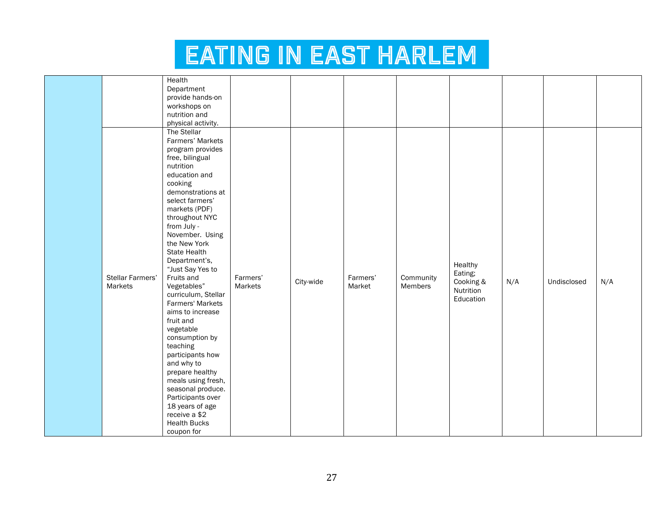|                  | Health              |          |           |          |           |           |     |             |     |
|------------------|---------------------|----------|-----------|----------|-----------|-----------|-----|-------------|-----|
|                  | Department          |          |           |          |           |           |     |             |     |
|                  | provide hands-on    |          |           |          |           |           |     |             |     |
|                  | workshops on        |          |           |          |           |           |     |             |     |
|                  | nutrition and       |          |           |          |           |           |     |             |     |
|                  |                     |          |           |          |           |           |     |             |     |
|                  | physical activity.  |          |           |          |           |           |     |             |     |
|                  | The Stellar         |          |           |          |           |           |     |             |     |
|                  | Farmers' Markets    |          |           |          |           |           |     |             |     |
|                  | program provides    |          |           |          |           |           |     |             |     |
|                  | free, bilingual     |          |           |          |           |           |     |             |     |
|                  | nutrition           |          |           |          |           |           |     |             |     |
|                  | education and       |          |           |          |           |           |     |             |     |
|                  | cooking             |          |           |          |           |           |     |             |     |
|                  | demonstrations at   |          |           |          |           |           |     |             |     |
|                  | select farmers'     |          |           |          |           |           |     |             |     |
|                  | markets (PDF)       |          |           |          |           |           |     |             |     |
|                  | throughout NYC      |          |           |          |           |           |     |             |     |
|                  | from July -         |          |           |          |           |           |     |             |     |
|                  | November. Using     |          |           |          |           |           |     |             |     |
|                  | the New York        |          |           |          |           |           |     |             |     |
|                  | State Health        |          |           |          |           |           |     |             |     |
|                  | Department's,       |          |           |          |           |           |     |             |     |
|                  | "Just Say Yes to    |          |           |          |           | Healthy   |     |             |     |
| Stellar Farmers' | Fruits and          | Farmers' |           | Farmers' | Community | Eating;   |     |             |     |
| Markets          | Vegetables"         | Markets  | City-wide | Market   | Members   | Cooking & | N/A | Undisclosed | N/A |
|                  | curriculum, Stellar |          |           |          |           | Nutrition |     |             |     |
|                  | Farmers' Markets    |          |           |          |           | Education |     |             |     |
|                  | aims to increase    |          |           |          |           |           |     |             |     |
|                  | fruit and           |          |           |          |           |           |     |             |     |
|                  | vegetable           |          |           |          |           |           |     |             |     |
|                  | consumption by      |          |           |          |           |           |     |             |     |
|                  | teaching            |          |           |          |           |           |     |             |     |
|                  | participants how    |          |           |          |           |           |     |             |     |
|                  | and why to          |          |           |          |           |           |     |             |     |
|                  | prepare healthy     |          |           |          |           |           |     |             |     |
|                  |                     |          |           |          |           |           |     |             |     |
|                  | meals using fresh,  |          |           |          |           |           |     |             |     |
|                  | seasonal produce.   |          |           |          |           |           |     |             |     |
|                  | Participants over   |          |           |          |           |           |     |             |     |
|                  | 18 years of age     |          |           |          |           |           |     |             |     |
|                  | receive a \$2       |          |           |          |           |           |     |             |     |
|                  | <b>Health Bucks</b> |          |           |          |           |           |     |             |     |
|                  | coupon for          |          |           |          |           |           |     |             |     |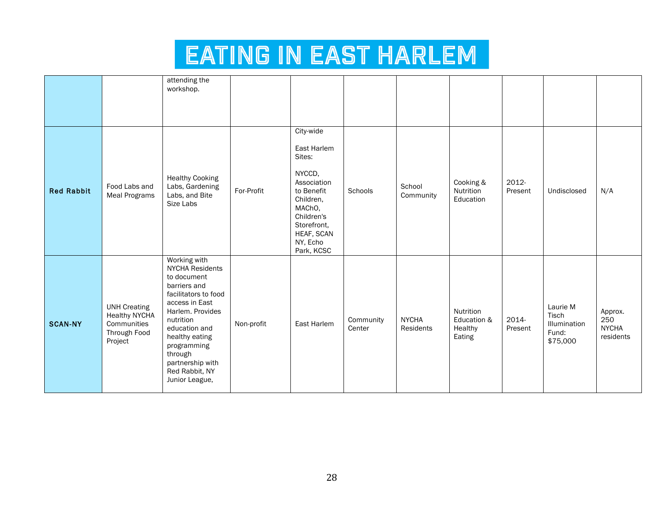|                   |                                                                                       | attending the<br>workshop.                                                                                                                                                                                                                                            |            |                                                                                                                                                                       |                     |                           |                                               |                  |                                                        |                                             |
|-------------------|---------------------------------------------------------------------------------------|-----------------------------------------------------------------------------------------------------------------------------------------------------------------------------------------------------------------------------------------------------------------------|------------|-----------------------------------------------------------------------------------------------------------------------------------------------------------------------|---------------------|---------------------------|-----------------------------------------------|------------------|--------------------------------------------------------|---------------------------------------------|
| <b>Red Rabbit</b> | Food Labs and<br><b>Meal Programs</b>                                                 | <b>Healthy Cooking</b><br>Labs, Gardening<br>Labs, and Bite<br>Size Labs                                                                                                                                                                                              | For-Profit | City-wide<br>East Harlem<br>Sites:<br>NYCCD,<br>Association<br>to Benefit<br>Children,<br>MAChO,<br>Children's<br>Storefront,<br>HEAF, SCAN<br>NY, Echo<br>Park, KCSC | Schools             | School<br>Community       | Cooking &<br>Nutrition<br>Education           | 2012-<br>Present | Undisclosed                                            | N/A                                         |
| <b>SCAN-NY</b>    | <b>UNH Creating</b><br><b>Healthy NYCHA</b><br>Communities<br>Through Food<br>Project | Working with<br><b>NYCHA Residents</b><br>to document<br>barriers and<br>facilitators to food<br>access in East<br>Harlem. Provides<br>nutrition<br>education and<br>healthy eating<br>programming<br>through<br>partnership with<br>Red Rabbit, NY<br>Junior League, | Non-profit | East Harlem                                                                                                                                                           | Community<br>Center | <b>NYCHA</b><br>Residents | Nutrition<br>Education &<br>Healthy<br>Eating | 2014-<br>Present | Laurie M<br>Tisch<br>Illumination<br>Fund:<br>\$75,000 | Approx.<br>250<br><b>NYCHA</b><br>residents |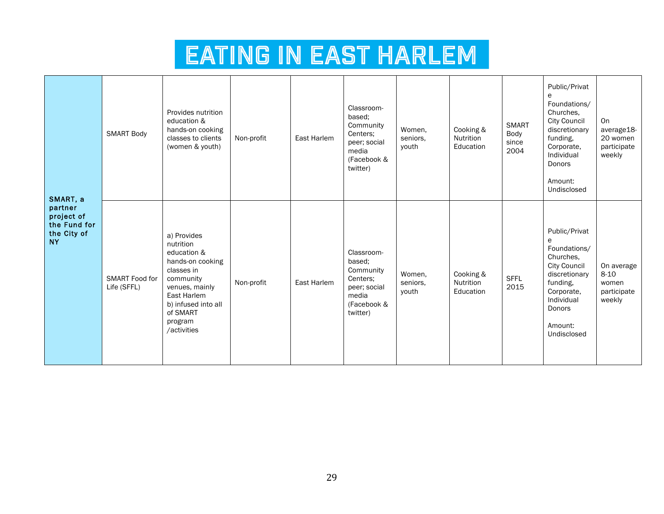| SMART, a<br>partner<br>project of<br>the Fund for<br>the City of<br><b>NY</b> | <b>SMART Body</b>                    | Provides nutrition<br>education &<br>hands-on cooking<br>classes to clients<br>(women & youth)                                                                                       | Non-profit | East Harlem | Classroom-<br>based:<br>Community<br>Centers:<br>peer; social<br>media<br>(Facebook &<br>twitter) | Women.<br>seniors.<br>youth | Cooking &<br>Nutrition<br>Education | <b>SMART</b><br>Body<br>since<br>2004 | Public/Privat<br>e<br>Foundations/<br>Churches.<br>City Council<br>discretionary<br>funding,<br>Corporate,<br>Individual<br>Donors<br>Amount:<br>Undisclosed        | On<br>average18-<br>20 women<br>participate<br>weekly    |
|-------------------------------------------------------------------------------|--------------------------------------|--------------------------------------------------------------------------------------------------------------------------------------------------------------------------------------|------------|-------------|---------------------------------------------------------------------------------------------------|-----------------------------|-------------------------------------|---------------------------------------|---------------------------------------------------------------------------------------------------------------------------------------------------------------------|----------------------------------------------------------|
|                                                                               | <b>SMART Food for</b><br>Life (SFFL) | a) Provides<br>nutrition<br>education &<br>hands-on cooking<br>classes in<br>community<br>venues, mainly<br>East Harlem<br>b) infused into all<br>of SMART<br>program<br>/activities | Non-profit | East Harlem | Classroom-<br>based;<br>Community<br>Centers:<br>peer; social<br>media<br>(Facebook &<br>twitter) | Women.<br>seniors.<br>youth | Cooking &<br>Nutrition<br>Education | <b>SFFL</b><br>2015                   | Public/Privat<br>e<br>Foundations/<br>Churches.<br><b>City Council</b><br>discretionary<br>funding,<br>Corporate,<br>Individual<br>Donors<br>Amount:<br>Undisclosed | On average<br>$8 - 10$<br>women<br>participate<br>weekly |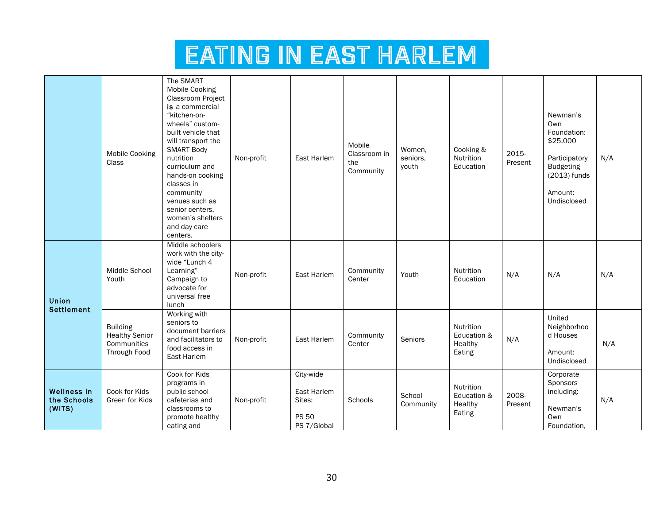|                                             | <b>Mobile Cooking</b><br>Class                                          | The SMART<br><b>Mobile Cooking</b><br>Classroom Project<br>is a commercial<br>"kitchen-on-<br>wheels" custom-<br>built vehicle that<br>will transport the<br><b>SMART Body</b><br>nutrition<br>curriculum and<br>hands-on cooking | Non-profit | East Harlem                                                       | Mobile<br>Classroom in<br>the<br>Community | Women.<br>seniors,<br>youth | Cooking &<br>Nutrition<br>Education           | 2015-<br>Present | Newman's<br>Own<br>Foundation:<br>\$25,000<br>Participatory<br><b>Budgeting</b><br>$(2013)$ funds | N/A |
|---------------------------------------------|-------------------------------------------------------------------------|-----------------------------------------------------------------------------------------------------------------------------------------------------------------------------------------------------------------------------------|------------|-------------------------------------------------------------------|--------------------------------------------|-----------------------------|-----------------------------------------------|------------------|---------------------------------------------------------------------------------------------------|-----|
|                                             |                                                                         | classes in<br>community<br>venues such as<br>senior centers.<br>women's shelters<br>and day care<br>centers.                                                                                                                      |            |                                                                   |                                            |                             |                                               |                  | Amount:<br>Undisclosed                                                                            |     |
| Union<br><b>Settlement</b>                  | Middle School<br>Youth                                                  | Middle schoolers<br>work with the city-<br>wide "Lunch 4<br>Learning"<br>Campaign to<br>advocate for<br>universal free<br>lunch                                                                                                   | Non-profit | East Harlem                                                       | Community<br>Center                        | Youth                       | Nutrition<br>Education                        | N/A              | N/A                                                                                               | N/A |
|                                             | <b>Building</b><br><b>Healthy Senior</b><br>Communities<br>Through Food | Working with<br>seniors to<br>document barriers<br>and facilitators to<br>food access in<br>East Harlem                                                                                                                           | Non-profit | East Harlem                                                       | Community<br>Center                        | Seniors                     | Nutrition<br>Education &<br>Healthy<br>Eating | N/A              | United<br>Neighborhoo<br>d Houses<br>Amount:<br>Undisclosed                                       | N/A |
| <b>Wellness in</b><br>the Schools<br>(WITS) | Cook for Kids<br>Green for Kids                                         | Cook for Kids<br>programs in<br>public school<br>cafeterias and<br>classrooms to<br>promote healthy<br>eating and                                                                                                                 | Non-profit | City-wide<br>East Harlem<br>Sites:<br><b>PS 50</b><br>PS 7/Global | Schools                                    | School<br>Community         | Nutrition<br>Education &<br>Healthy<br>Eating | 2008-<br>Present | Corporate<br>Sponsors<br>including:<br>Newman's<br>Own<br>Foundation,                             | N/A |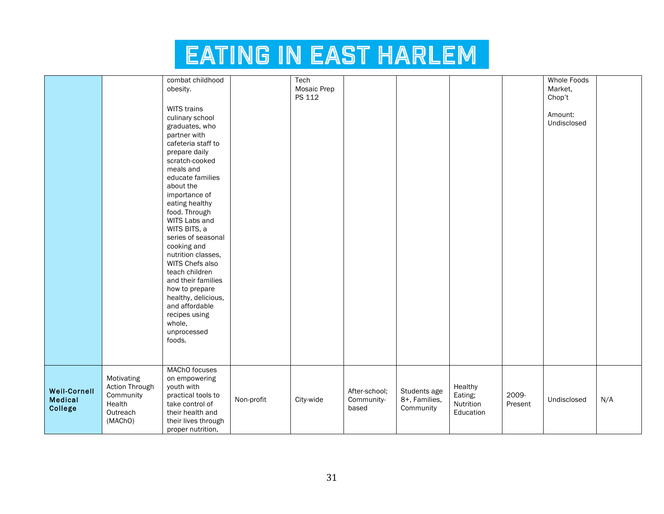|                     |                | combat childhood    |            | Tech        |               |               |           |         | <b>Whole Foods</b> |     |
|---------------------|----------------|---------------------|------------|-------------|---------------|---------------|-----------|---------|--------------------|-----|
|                     |                | obesity.            |            | Mosaic Prep |               |               |           |         | Market,            |     |
|                     |                |                     |            | PS 112      |               |               |           |         | Chop't             |     |
|                     |                |                     |            |             |               |               |           |         |                    |     |
|                     |                | WITS trains         |            |             |               |               |           |         | Amount:            |     |
|                     |                | culinary school     |            |             |               |               |           |         | Undisclosed        |     |
|                     |                | graduates, who      |            |             |               |               |           |         |                    |     |
|                     |                | partner with        |            |             |               |               |           |         |                    |     |
|                     |                | cafeteria staff to  |            |             |               |               |           |         |                    |     |
|                     |                | prepare daily       |            |             |               |               |           |         |                    |     |
|                     |                | scratch-cooked      |            |             |               |               |           |         |                    |     |
|                     |                | meals and           |            |             |               |               |           |         |                    |     |
|                     |                | educate families    |            |             |               |               |           |         |                    |     |
|                     |                | about the           |            |             |               |               |           |         |                    |     |
|                     |                | importance of       |            |             |               |               |           |         |                    |     |
|                     |                | eating healthy      |            |             |               |               |           |         |                    |     |
|                     |                | food. Through       |            |             |               |               |           |         |                    |     |
|                     |                | WITS Labs and       |            |             |               |               |           |         |                    |     |
|                     |                | WITS BITS, a        |            |             |               |               |           |         |                    |     |
|                     |                | series of seasonal  |            |             |               |               |           |         |                    |     |
|                     |                | cooking and         |            |             |               |               |           |         |                    |     |
|                     |                | nutrition classes,  |            |             |               |               |           |         |                    |     |
|                     |                | WITS Chefs also     |            |             |               |               |           |         |                    |     |
|                     |                | teach children      |            |             |               |               |           |         |                    |     |
|                     |                | and their families  |            |             |               |               |           |         |                    |     |
|                     |                | how to prepare      |            |             |               |               |           |         |                    |     |
|                     |                | healthy, delicious, |            |             |               |               |           |         |                    |     |
|                     |                | and affordable      |            |             |               |               |           |         |                    |     |
|                     |                | recipes using       |            |             |               |               |           |         |                    |     |
|                     |                | whole,              |            |             |               |               |           |         |                    |     |
|                     |                | unprocessed         |            |             |               |               |           |         |                    |     |
|                     |                | foods.              |            |             |               |               |           |         |                    |     |
|                     |                |                     |            |             |               |               |           |         |                    |     |
|                     |                |                     |            |             |               |               |           |         |                    |     |
|                     |                | MAChO focuses       |            |             |               |               |           |         |                    |     |
|                     | Motivating     | on empowering       |            |             |               |               |           |         |                    |     |
| <b>Weil-Cornell</b> | Action Through | youth with          |            |             | After-school; | Students age  | Healthy   |         |                    |     |
| <b>Medical</b>      | Community      | practical tools to  | Non-profit | City-wide   | Community-    | 8+, Families, | Eating;   | 2009-   | Undisclosed        | N/A |
| College             | Health         | take control of     |            |             | based         | Community     | Nutrition | Present |                    |     |
|                     | Outreach       | their health and    |            |             |               |               | Education |         |                    |     |
|                     | (MAChO)        | their lives through |            |             |               |               |           |         |                    |     |
|                     |                | proper nutrition,   |            |             |               |               |           |         |                    |     |